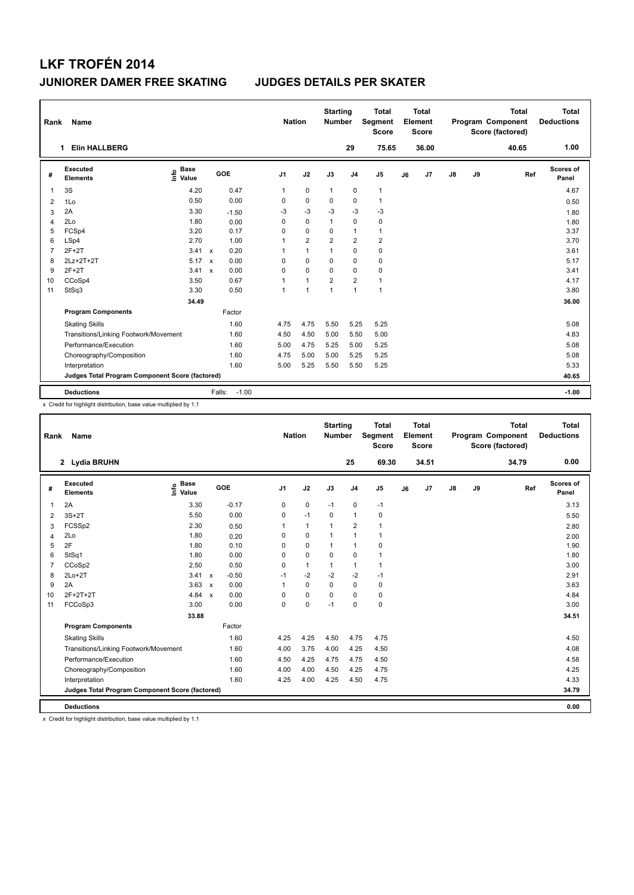| Rank           | Name                                            |                              |                           |                   | <b>Nation</b>  |                | <b>Starting</b><br><b>Number</b> |                | <b>Total</b><br>Segment<br><b>Score</b> |    | Total<br>Element<br><b>Score</b> |               |    | <b>Total</b><br>Program Component<br>Score (factored) | Total<br><b>Deductions</b> |
|----------------|-------------------------------------------------|------------------------------|---------------------------|-------------------|----------------|----------------|----------------------------------|----------------|-----------------------------------------|----|----------------------------------|---------------|----|-------------------------------------------------------|----------------------------|
|                | <b>Elin HALLBERG</b><br>1                       |                              |                           |                   |                |                |                                  | 29             | 75.65                                   |    | 36.00                            |               |    | 40.65                                                 | 1.00                       |
| #              | Executed<br><b>Elements</b>                     | <b>Base</b><br>lnfo<br>Value |                           | GOE               | J <sub>1</sub> | J2             | J3                               | J <sub>4</sub> | J <sub>5</sub>                          | J6 | J7                               | $\mathsf{J}8$ | J9 | Ref                                                   | Scores of<br>Panel         |
| 1              | 3S                                              | 4.20                         |                           | 0.47              | 1              | 0              | $\mathbf{1}$                     | 0              | $\mathbf{1}$                            |    |                                  |               |    |                                                       | 4.67                       |
| 2              | 1Lo                                             | 0.50                         |                           | 0.00              | 0              | $\Omega$       | $\Omega$                         | $\mathbf 0$    | $\mathbf{1}$                            |    |                                  |               |    |                                                       | 0.50                       |
| 3              | 2A                                              | 3.30                         |                           | $-1.50$           | $-3$           | $-3$           | $-3$                             | $-3$           | $-3$                                    |    |                                  |               |    |                                                       | 1.80                       |
| $\overline{4}$ | 2Lo                                             | 1.80                         |                           | 0.00              | 0              | $\mathbf 0$    | $\mathbf{1}$                     | $\mathbf 0$    | $\mathbf 0$                             |    |                                  |               |    |                                                       | 1.80                       |
| 5              | FCSp4                                           | 3.20                         |                           | 0.17              | 0              | $\mathbf 0$    | 0                                | $\overline{1}$ | $\mathbf{1}$                            |    |                                  |               |    |                                                       | 3.37                       |
| 6              | LSp4                                            | 2.70                         |                           | 1.00              | 1              | $\overline{2}$ | $\overline{2}$                   | $\overline{2}$ | $\overline{2}$                          |    |                                  |               |    |                                                       | 3.70                       |
| $\overline{7}$ | $2F+2T$                                         | 3.41                         | $\mathsf{x}$              | 0.20              | 1              | $\mathbf{1}$   | 1                                | $\mathbf 0$    | $\pmb{0}$                               |    |                                  |               |    |                                                       | 3.61                       |
| 8              | 2Lz+2T+2T                                       | 5.17                         | $\boldsymbol{\mathsf{x}}$ | 0.00              | 0              | $\mathbf 0$    | 0                                | 0              | 0                                       |    |                                  |               |    |                                                       | 5.17                       |
| 9              | $2F+2T$                                         | 3.41                         | $\mathsf{x}$              | 0.00              | 0              | $\mathbf 0$    | 0                                | $\mathbf 0$    | 0                                       |    |                                  |               |    |                                                       | 3.41                       |
| 10             | CCoSp4                                          | 3.50                         |                           | 0.67              | 1              | $\mathbf{1}$   | $\overline{2}$                   | $\overline{2}$ | $\mathbf{1}$                            |    |                                  |               |    |                                                       | 4.17                       |
| 11             | StSq3                                           | 3.30                         |                           | 0.50              | 1              | $\mathbf{1}$   | 1                                | $\overline{1}$ | $\mathbf{1}$                            |    |                                  |               |    |                                                       | 3.80                       |
|                |                                                 | 34.49                        |                           |                   |                |                |                                  |                |                                         |    |                                  |               |    |                                                       | 36.00                      |
|                | <b>Program Components</b>                       |                              |                           | Factor            |                |                |                                  |                |                                         |    |                                  |               |    |                                                       |                            |
|                | <b>Skating Skills</b>                           |                              |                           | 1.60              | 4.75           | 4.75           | 5.50                             | 5.25           | 5.25                                    |    |                                  |               |    |                                                       | 5.08                       |
|                | Transitions/Linking Footwork/Movement           |                              |                           | 1.60              | 4.50           | 4.50           | 5.00                             | 5.50           | 5.00                                    |    |                                  |               |    |                                                       | 4.83                       |
|                | Performance/Execution                           |                              |                           | 1.60              | 5.00           | 4.75           | 5.25                             | 5.00           | 5.25                                    |    |                                  |               |    |                                                       | 5.08                       |
|                | Choreography/Composition                        |                              |                           | 1.60              | 4.75           | 5.00           | 5.00                             | 5.25           | 5.25                                    |    |                                  |               |    |                                                       | 5.08                       |
|                | Interpretation                                  |                              |                           | 1.60              | 5.00           | 5.25           | 5.50                             | 5.50           | 5.25                                    |    |                                  |               |    |                                                       | 5.33                       |
|                | Judges Total Program Component Score (factored) |                              |                           |                   |                |                |                                  |                |                                         |    |                                  |               |    |                                                       | 40.65                      |
|                | <b>Deductions</b>                               |                              |                           | $-1.00$<br>Falls: |                |                |                                  |                |                                         |    |                                  |               |    |                                                       | $-1.00$                    |

x Credit for highlight distribution, base value multiplied by 1.1

| Rank | Name                                            |                            |                         | <b>Nation</b>  |              | <b>Starting</b><br><b>Number</b> |                | <b>Total</b><br>Segment<br><b>Score</b> |    | <b>Total</b><br>Element<br><b>Score</b> |               |    | <b>Total</b><br>Program Component<br>Score (factored) | <b>Total</b><br><b>Deductions</b> |
|------|-------------------------------------------------|----------------------------|-------------------------|----------------|--------------|----------------------------------|----------------|-----------------------------------------|----|-----------------------------------------|---------------|----|-------------------------------------------------------|-----------------------------------|
|      | 2 Lydia BRUHN                                   |                            |                         |                |              |                                  | 25             | 69.30                                   |    | 34.51                                   |               |    | 34.79                                                 | 0.00                              |
| #    | Executed<br><b>Elements</b>                     | <b>Base</b><br>١m<br>Value | GOE                     | J <sub>1</sub> | J2           | J3                               | J <sub>4</sub> | J5                                      | J6 | J7                                      | $\mathsf{J}8$ | J9 | Ref                                                   | Scores of<br>Panel                |
| 1    | 2A                                              | 3.30                       | $-0.17$                 | 0              | 0            | $-1$                             | $\mathbf 0$    | $-1$                                    |    |                                         |               |    |                                                       | 3.13                              |
| 2    | $3S+2T$                                         | 5.50                       | 0.00                    | 0              | $-1$         | $\mathbf 0$                      | $\mathbf{1}$   | 0                                       |    |                                         |               |    |                                                       | 5.50                              |
| 3    | FCSSp2                                          | 2.30                       | 0.50                    | 1              | 1            | 1                                | $\overline{2}$ | 1                                       |    |                                         |               |    |                                                       | 2.80                              |
| 4    | 2Lo                                             | 1.80                       | 0.20                    | $\Omega$       | 0            | 1                                | $\mathbf{1}$   | 1                                       |    |                                         |               |    |                                                       | 2.00                              |
| 5    | 2F                                              | 1.80                       | 0.10                    | $\Omega$       | $\Omega$     | 1                                | $\mathbf{1}$   | 0                                       |    |                                         |               |    |                                                       | 1.90                              |
| 6    | StSq1                                           | 1.80                       | 0.00                    | $\Omega$       | 0            | $\Omega$                         | 0              | 1                                       |    |                                         |               |    |                                                       | 1.80                              |
|      | CCoSp2                                          | 2.50                       | 0.50                    | $\Omega$       | $\mathbf{1}$ | 1                                | $\mathbf{1}$   | 1                                       |    |                                         |               |    |                                                       | 3.00                              |
| 8    | $2Lo+2T$                                        | 3.41                       | $-0.50$<br>$\mathsf{x}$ | $-1$           | $-2$         | $-2$                             | $-2$           | $-1$                                    |    |                                         |               |    |                                                       | 2.91                              |
| 9    | 2A                                              | $3.63 \times$              | 0.00                    | 1              | $\Omega$     | $\Omega$                         | $\Omega$       | 0                                       |    |                                         |               |    |                                                       | 3.63                              |
| 10   | $2F+2T+2T$                                      | 4.84 $x$                   | 0.00                    | $\Omega$       | $\Omega$     | $\Omega$                         | $\Omega$       | 0                                       |    |                                         |               |    |                                                       | 4.84                              |
| 11   | FCCoSp3                                         | 3.00                       | 0.00                    | 0              | 0            | $-1$                             | 0              | 0                                       |    |                                         |               |    |                                                       | 3.00                              |
|      |                                                 | 33.88                      |                         |                |              |                                  |                |                                         |    |                                         |               |    |                                                       | 34.51                             |
|      | <b>Program Components</b>                       |                            | Factor                  |                |              |                                  |                |                                         |    |                                         |               |    |                                                       |                                   |
|      | <b>Skating Skills</b>                           |                            | 1.60                    | 4.25           | 4.25         | 4.50                             | 4.75           | 4.75                                    |    |                                         |               |    |                                                       | 4.50                              |
|      | Transitions/Linking Footwork/Movement           |                            | 1.60                    | 4.00           | 3.75         | 4.00                             | 4.25           | 4.50                                    |    |                                         |               |    |                                                       | 4.08                              |
|      | Performance/Execution                           |                            | 1.60                    | 4.50           | 4.25         | 4.75                             | 4.75           | 4.50                                    |    |                                         |               |    |                                                       | 4.58                              |
|      | Choreography/Composition                        |                            | 1.60                    | 4.00           | 4.00         | 4.50                             | 4.25           | 4.75                                    |    |                                         |               |    |                                                       | 4.25                              |
|      | Interpretation                                  |                            | 1.60                    | 4.25           | 4.00         | 4.25                             | 4.50           | 4.75                                    |    |                                         |               |    |                                                       | 4.33                              |
|      | Judges Total Program Component Score (factored) |                            |                         |                |              |                                  |                |                                         |    |                                         |               |    |                                                       | 34.79                             |
|      | <b>Deductions</b>                               |                            |                         |                |              |                                  |                |                                         |    |                                         |               |    |                                                       | 0.00                              |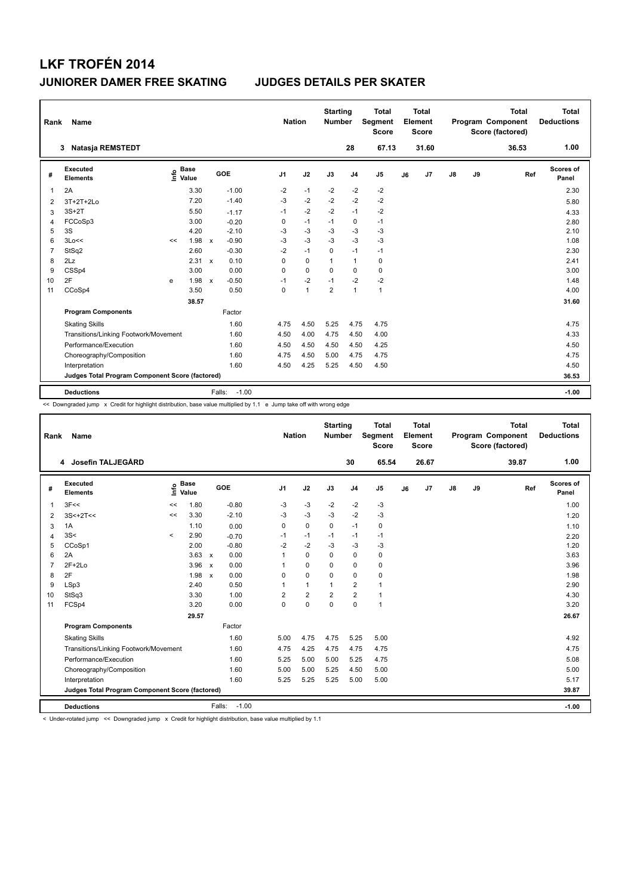| Rank           | Name                                            |      |                      |              |                   | <b>Nation</b>  |              | <b>Starting</b><br><b>Number</b> |                | <b>Total</b><br><b>Segment</b><br><b>Score</b> |    | <b>Total</b><br>Element<br><b>Score</b> |    |    | <b>Total</b><br>Program Component<br>Score (factored) | <b>Total</b><br><b>Deductions</b> |
|----------------|-------------------------------------------------|------|----------------------|--------------|-------------------|----------------|--------------|----------------------------------|----------------|------------------------------------------------|----|-----------------------------------------|----|----|-------------------------------------------------------|-----------------------------------|
|                | Natasja REMSTEDT<br>3                           |      |                      |              |                   |                |              |                                  | 28             | 67.13                                          |    | 31.60                                   |    |    | 36.53                                                 | 1.00                              |
| #              | Executed<br><b>Elements</b>                     | lnfo | <b>Base</b><br>Value |              | GOE               | J <sub>1</sub> | J2           | J3                               | J <sub>4</sub> | J <sub>5</sub>                                 | J6 | J7                                      | J8 | J9 | Ref                                                   | Scores of<br>Panel                |
| 1              | 2A                                              |      | 3.30                 |              | $-1.00$           | $-2$           | $-1$         | $-2$                             | $-2$           | $-2$                                           |    |                                         |    |    |                                                       | 2.30                              |
| 2              | 3T+2T+2Lo                                       |      | 7.20                 |              | $-1.40$           | $-3$           | $-2$         | $-2$                             | $-2$           | $-2$                                           |    |                                         |    |    |                                                       | 5.80                              |
| 3              | $3S+2T$                                         |      | 5.50                 |              | $-1.17$           | $-1$           | $-2$         | $-2$                             | $-1$           | $-2$                                           |    |                                         |    |    |                                                       | 4.33                              |
| 4              | FCCoSp3                                         |      | 3.00                 |              | $-0.20$           | 0              | $-1$         | $-1$                             | 0              | $-1$                                           |    |                                         |    |    |                                                       | 2.80                              |
| 5              | 3S                                              |      | 4.20                 |              | $-2.10$           | -3             | $-3$         | -3                               | $-3$           | $-3$                                           |    |                                         |    |    |                                                       | 2.10                              |
| 6              | 3Lo<<                                           | <<   | 1.98                 | $\mathsf{x}$ | $-0.90$           | $-3$           | $-3$         | -3                               | $-3$           | $-3$                                           |    |                                         |    |    |                                                       | 1.08                              |
| $\overline{7}$ | StSq2                                           |      | 2.60                 |              | $-0.30$           | $-2$           | $-1$         | 0                                | $-1$           | $-1$                                           |    |                                         |    |    |                                                       | 2.30                              |
| 8              | 2Lz                                             |      | 2.31                 | $\mathsf{x}$ | 0.10              | 0              | $\mathbf 0$  | $\mathbf{1}$                     | $\mathbf{1}$   | 0                                              |    |                                         |    |    |                                                       | 2.41                              |
| 9              | CSSp4                                           |      | 3.00                 |              | 0.00              | $\Omega$       | $\Omega$     | $\Omega$                         | 0              | 0                                              |    |                                         |    |    |                                                       | 3.00                              |
| 10             | 2F                                              | e    | 1.98                 | $\mathsf{x}$ | $-0.50$           | $-1$           | $-2$         | $-1$                             | $-2$           | $-2$                                           |    |                                         |    |    |                                                       | 1.48                              |
| 11             | CCoSp4                                          |      | 3.50                 |              | 0.50              | 0              | $\mathbf{1}$ | $\overline{2}$                   | $\mathbf{1}$   | $\mathbf{1}$                                   |    |                                         |    |    |                                                       | 4.00                              |
|                |                                                 |      | 38.57                |              |                   |                |              |                                  |                |                                                |    |                                         |    |    |                                                       | 31.60                             |
|                | <b>Program Components</b>                       |      |                      |              | Factor            |                |              |                                  |                |                                                |    |                                         |    |    |                                                       |                                   |
|                | <b>Skating Skills</b>                           |      |                      |              | 1.60              | 4.75           | 4.50         | 5.25                             | 4.75           | 4.75                                           |    |                                         |    |    |                                                       | 4.75                              |
|                | Transitions/Linking Footwork/Movement           |      |                      |              | 1.60              | 4.50           | 4.00         | 4.75                             | 4.50           | 4.00                                           |    |                                         |    |    |                                                       | 4.33                              |
|                | Performance/Execution                           |      |                      |              | 1.60              | 4.50           | 4.50         | 4.50                             | 4.50           | 4.25                                           |    |                                         |    |    |                                                       | 4.50                              |
|                | Choreography/Composition                        |      |                      |              | 1.60              | 4.75           | 4.50         | 5.00                             | 4.75           | 4.75                                           |    |                                         |    |    |                                                       | 4.75                              |
|                | Interpretation                                  |      |                      |              | 1.60              | 4.50           | 4.25         | 5.25                             | 4.50           | 4.50                                           |    |                                         |    |    |                                                       | 4.50                              |
|                | Judges Total Program Component Score (factored) |      |                      |              |                   |                |              |                                  |                |                                                |    |                                         |    |    |                                                       | 36.53                             |
|                | <b>Deductions</b>                               |      |                      |              | $-1.00$<br>Falls: |                |              |                                  |                |                                                |    |                                         |    |    |                                                       | $-1.00$                           |

<< Downgraded jump x Credit for highlight distribution, base value multiplied by 1.1 e Jump take off with wrong edge

| Rank           | Name                                            |         |                      |                           |                   |                | <b>Nation</b>  | <b>Starting</b><br><b>Number</b> |                | <b>Total</b><br>Segment<br><b>Score</b> |    | Total<br>Element<br><b>Score</b> |               |    | <b>Total</b><br>Program Component<br>Score (factored) | Total<br><b>Deductions</b> |
|----------------|-------------------------------------------------|---------|----------------------|---------------------------|-------------------|----------------|----------------|----------------------------------|----------------|-----------------------------------------|----|----------------------------------|---------------|----|-------------------------------------------------------|----------------------------|
|                | 4 Josefin TALJEGÅRD                             |         |                      |                           |                   |                |                |                                  | 30             | 65.54                                   |    | 26.67                            |               |    | 39.87                                                 | 1.00                       |
| #              | Executed<br><b>Elements</b>                     | ١m      | <b>Base</b><br>Value |                           | GOE               | J <sub>1</sub> | J2             | J3                               | J <sub>4</sub> | J <sub>5</sub>                          | J6 | J7                               | $\mathsf{J}8$ | J9 | Ref                                                   | Scores of<br>Panel         |
| 1              | 3F<<                                            | <<      | 1.80                 |                           | $-0.80$           | -3             | $-3$           | $-2$                             | $-2$           | $-3$                                    |    |                                  |               |    |                                                       | 1.00                       |
| 2              | $3S<+2T<<$                                      | <<      | 3.30                 |                           | $-2.10$           | -3             | $-3$           | $-3$                             | $-2$           | $-3$                                    |    |                                  |               |    |                                                       | 1.20                       |
| 3              | 1A                                              |         | 1.10                 |                           | 0.00              | 0              | $\mathbf 0$    | $\mathbf 0$                      | $-1$           | $\pmb{0}$                               |    |                                  |               |    |                                                       | 1.10                       |
| 4              | 3S<                                             | $\prec$ | 2.90                 |                           | $-0.70$           | $-1$           | $-1$           | $-1$                             | $-1$           | $-1$                                    |    |                                  |               |    |                                                       | 2.20                       |
| 5              | CCoSp1                                          |         | 2.00                 |                           | $-0.80$           | $-2$           | $-2$           | $-3$                             | $-3$           | $-3$                                    |    |                                  |               |    |                                                       | 1.20                       |
| 6              | 2A                                              |         | 3.63                 | $\mathsf{x}$              | 0.00              | 1              | $\Omega$       | $\Omega$                         | 0              | $\mathbf 0$                             |    |                                  |               |    |                                                       | 3.63                       |
| $\overline{7}$ | $2F+2Lo$                                        |         | 3.96                 | $\boldsymbol{\mathsf{x}}$ | 0.00              | 1              | $\Omega$       | $\Omega$                         | $\Omega$       | $\pmb{0}$                               |    |                                  |               |    |                                                       | 3.96                       |
| 8              | 2F                                              |         | 1.98                 | $\boldsymbol{\mathsf{x}}$ | 0.00              | 0              | $\mathbf 0$    | $\mathbf 0$                      | 0              | 0                                       |    |                                  |               |    |                                                       | 1.98                       |
| 9              | LSp3                                            |         | 2.40                 |                           | 0.50              | 1              | $\mathbf{1}$   | $\mathbf{1}$                     | $\overline{2}$ | $\mathbf{1}$                            |    |                                  |               |    |                                                       | 2.90                       |
| 10             | StSq3                                           |         | 3.30                 |                           | 1.00              | $\overline{2}$ | $\overline{2}$ | $\overline{2}$                   | $\overline{2}$ | $\mathbf{1}$                            |    |                                  |               |    |                                                       | 4.30                       |
| 11             | FCSp4                                           |         | 3.20                 |                           | 0.00              | 0              | $\mathbf 0$    | $\mathbf 0$                      | $\mathbf 0$    | 1                                       |    |                                  |               |    |                                                       | 3.20                       |
|                |                                                 |         | 29.57                |                           |                   |                |                |                                  |                |                                         |    |                                  |               |    |                                                       | 26.67                      |
|                | <b>Program Components</b>                       |         |                      |                           | Factor            |                |                |                                  |                |                                         |    |                                  |               |    |                                                       |                            |
|                | <b>Skating Skills</b>                           |         |                      |                           | 1.60              | 5.00           | 4.75           | 4.75                             | 5.25           | 5.00                                    |    |                                  |               |    |                                                       | 4.92                       |
|                | Transitions/Linking Footwork/Movement           |         |                      |                           | 1.60              | 4.75           | 4.25           | 4.75                             | 4.75           | 4.75                                    |    |                                  |               |    |                                                       | 4.75                       |
|                | Performance/Execution                           |         |                      |                           | 1.60              | 5.25           | 5.00           | 5.00                             | 5.25           | 4.75                                    |    |                                  |               |    |                                                       | 5.08                       |
|                | Choreography/Composition                        |         |                      |                           | 1.60              | 5.00           | 5.00           | 5.25                             | 4.50           | 5.00                                    |    |                                  |               |    |                                                       | 5.00                       |
|                | Interpretation                                  |         |                      |                           | 1.60              | 5.25           | 5.25           | 5.25                             | 5.00           | 5.00                                    |    |                                  |               |    |                                                       | 5.17                       |
|                | Judges Total Program Component Score (factored) |         |                      |                           |                   |                |                |                                  |                |                                         |    |                                  |               |    |                                                       | 39.87                      |
|                | <b>Deductions</b>                               |         |                      |                           | $-1.00$<br>Falls: |                |                |                                  |                |                                         |    |                                  |               |    |                                                       | $-1.00$                    |

< Under-rotated jump << Downgraded jump x Credit for highlight distribution, base value multiplied by 1.1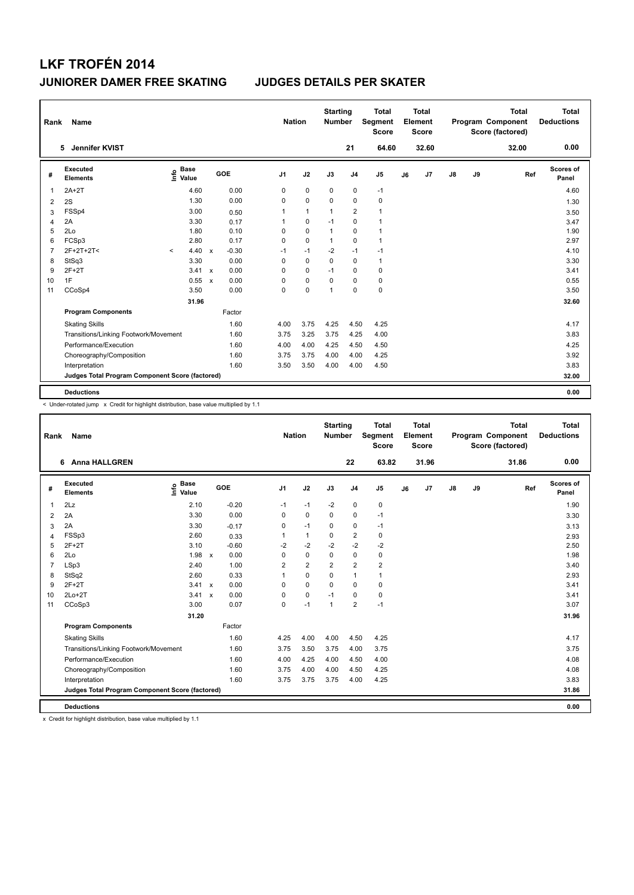| Rank           | Name                                            |                              |              |         | <b>Nation</b>  |              | <b>Starting</b><br><b>Number</b> |                | <b>Total</b><br>Segment<br><b>Score</b> |    | <b>Total</b><br>Element<br><b>Score</b> |    |    | <b>Total</b><br>Program Component<br>Score (factored) | <b>Total</b><br><b>Deductions</b> |
|----------------|-------------------------------------------------|------------------------------|--------------|---------|----------------|--------------|----------------------------------|----------------|-----------------------------------------|----|-----------------------------------------|----|----|-------------------------------------------------------|-----------------------------------|
|                | Jennifer KVIST<br>5.                            |                              |              |         |                |              |                                  | 21             | 64.60                                   |    | 32.60                                   |    |    | 32.00                                                 | 0.00                              |
| #              | <b>Executed</b><br><b>Elements</b>              | <b>Base</b><br>١nfo<br>Value | GOE          |         | J <sub>1</sub> | J2           | J3                               | J <sub>4</sub> | J <sub>5</sub>                          | J6 | J7                                      | J8 | J9 | Ref                                                   | <b>Scores of</b><br>Panel         |
| 1              | $2A+2T$                                         | 4.60                         |              | 0.00    | 0              | $\mathbf 0$  | $\mathbf 0$                      | $\pmb{0}$      | $-1$                                    |    |                                         |    |    |                                                       | 4.60                              |
| 2              | 2S                                              | 1.30                         |              | 0.00    | 0              | $\mathbf 0$  | 0                                | 0              | 0                                       |    |                                         |    |    |                                                       | 1.30                              |
| 3              | FSSp4                                           | 3.00                         |              | 0.50    | 1              | $\mathbf{1}$ | 1                                | $\overline{2}$ | $\mathbf{1}$                            |    |                                         |    |    |                                                       | 3.50                              |
| 4              | 2A                                              | 3.30                         |              | 0.17    | 1              | 0            | $-1$                             | 0              | $\mathbf{1}$                            |    |                                         |    |    |                                                       | 3.47                              |
| 5              | 2Lo                                             | 1.80                         |              | 0.10    | 0              | $\mathbf 0$  | $\overline{1}$                   | 0              | $\mathbf{1}$                            |    |                                         |    |    |                                                       | 1.90                              |
| 6              | FCSp3                                           | 2.80                         |              | 0.17    | 0              | $\mathbf 0$  | $\mathbf{1}$                     | $\mathbf 0$    | $\mathbf{1}$                            |    |                                         |    |    |                                                       | 2.97                              |
| $\overline{7}$ | 2F+2T+2T<                                       | 4.40<br>$\prec$              | $\mathsf{x}$ | $-0.30$ | $-1$           | $-1$         | $-2$                             | $-1$           | $-1$                                    |    |                                         |    |    |                                                       | 4.10                              |
| 8              | StSq3                                           | 3.30                         |              | 0.00    | 0              | 0            | $\Omega$                         | 0              | $\mathbf{1}$                            |    |                                         |    |    |                                                       | 3.30                              |
| 9              | $2F+2T$                                         | 3.41 x                       |              | 0.00    | 0              | 0            | $-1$                             | 0              | 0                                       |    |                                         |    |    |                                                       | 3.41                              |
| 10             | 1F                                              | 0.55                         | $\mathsf{x}$ | 0.00    | 0              | $\mathbf 0$  | $\Omega$                         | 0              | 0                                       |    |                                         |    |    |                                                       | 0.55                              |
| 11             | CCoSp4                                          | 3.50                         |              | 0.00    | 0              | 0            | 1                                | $\mathbf 0$    | $\pmb{0}$                               |    |                                         |    |    |                                                       | 3.50                              |
|                |                                                 | 31.96                        |              |         |                |              |                                  |                |                                         |    |                                         |    |    |                                                       | 32.60                             |
|                | <b>Program Components</b>                       |                              |              | Factor  |                |              |                                  |                |                                         |    |                                         |    |    |                                                       |                                   |
|                | <b>Skating Skills</b>                           |                              |              | 1.60    | 4.00           | 3.75         | 4.25                             | 4.50           | 4.25                                    |    |                                         |    |    |                                                       | 4.17                              |
|                | Transitions/Linking Footwork/Movement           |                              |              | 1.60    | 3.75           | 3.25         | 3.75                             | 4.25           | 4.00                                    |    |                                         |    |    |                                                       | 3.83                              |
|                | Performance/Execution                           |                              |              | 1.60    | 4.00           | 4.00         | 4.25                             | 4.50           | 4.50                                    |    |                                         |    |    |                                                       | 4.25                              |
|                | Choreography/Composition                        |                              |              | 1.60    | 3.75           | 3.75         | 4.00                             | 4.00           | 4.25                                    |    |                                         |    |    |                                                       | 3.92                              |
|                | Interpretation                                  |                              |              | 1.60    | 3.50           | 3.50         | 4.00                             | 4.00           | 4.50                                    |    |                                         |    |    |                                                       | 3.83                              |
|                | Judges Total Program Component Score (factored) |                              |              |         |                |              |                                  |                |                                         |    |                                         |    |    |                                                       | 32.00                             |
|                | <b>Deductions</b>                               |                              |              |         |                |              |                                  |                |                                         |    |                                         |    |    |                                                       | 0.00                              |

< Under-rotated jump x Credit for highlight distribution, base value multiplied by 1.1

| Rank           | Name                                            |                            |                      |                | <b>Nation</b>  | <b>Starting</b><br><b>Number</b> |                | <b>Total</b><br><b>Segment</b><br><b>Score</b> |    | Total<br>Element<br><b>Score</b> |    |    | <b>Total</b><br>Program Component<br>Score (factored) | Total<br><b>Deductions</b> |
|----------------|-------------------------------------------------|----------------------------|----------------------|----------------|----------------|----------------------------------|----------------|------------------------------------------------|----|----------------------------------|----|----|-------------------------------------------------------|----------------------------|
|                | <b>Anna HALLGREN</b><br>6.                      |                            |                      |                |                |                                  | 22             | 63.82                                          |    | 31.96                            |    |    | 31.86                                                 | 0.00                       |
| #              | Executed<br><b>Elements</b>                     | <b>Base</b><br>١m<br>Value | GOE                  | J <sub>1</sub> | J2             | J3                               | J <sub>4</sub> | J5                                             | J6 | J7                               | J8 | J9 | Ref                                                   | Scores of<br>Panel         |
| 1              | 2Lz                                             | 2.10                       | $-0.20$              | $-1$           | $-1$           | $-2$                             | 0              | 0                                              |    |                                  |    |    |                                                       | 1.90                       |
| 2              | 2A                                              | 3.30                       | 0.00                 | $\Omega$       | $\mathbf 0$    | $\Omega$                         | 0              | $-1$                                           |    |                                  |    |    |                                                       | 3.30                       |
| 3              | 2A                                              | 3.30                       | $-0.17$              | 0              | $-1$           | 0                                | 0              | $-1$                                           |    |                                  |    |    |                                                       | 3.13                       |
| 4              | FSSp3                                           | 2.60                       | 0.33                 | 1              | $\mathbf{1}$   | 0                                | $\overline{2}$ | 0                                              |    |                                  |    |    |                                                       | 2.93                       |
| 5              | $2F+2T$                                         | 3.10                       | $-0.60$              | $-2$           | $-2$           | $-2$                             | $-2$           | $-2$                                           |    |                                  |    |    |                                                       | 2.50                       |
| 6              | 2Lo                                             | 1.98                       | 0.00<br>$\mathsf{x}$ | 0              | 0              | 0                                | 0              | 0                                              |    |                                  |    |    |                                                       | 1.98                       |
| $\overline{7}$ | LSp3                                            | 2.40                       | 1.00                 | $\overline{2}$ | $\overline{2}$ | $\overline{2}$                   | $\overline{2}$ | $\overline{\mathbf{c}}$                        |    |                                  |    |    |                                                       | 3.40                       |
| 8              | StSq2                                           | 2.60                       | 0.33                 |                | $\mathbf 0$    | 0                                | $\mathbf{1}$   | $\mathbf{1}$                                   |    |                                  |    |    |                                                       | 2.93                       |
| 9              | $2F+2T$                                         | 3.41 x                     | 0.00                 | $\Omega$       | $\Omega$       | $\Omega$                         | 0              | 0                                              |    |                                  |    |    |                                                       | 3.41                       |
| 10             | $2Lo+2T$                                        | 3.41                       | 0.00<br>$\mathsf{x}$ | $\Omega$       | $\mathbf 0$    | $-1$                             | 0              | 0                                              |    |                                  |    |    |                                                       | 3.41                       |
| 11             | CCoSp3                                          | 3.00                       | 0.07                 | 0              | $-1$           | 1                                | $\overline{2}$ | $-1$                                           |    |                                  |    |    |                                                       | 3.07                       |
|                |                                                 | 31.20                      |                      |                |                |                                  |                |                                                |    |                                  |    |    |                                                       | 31.96                      |
|                | <b>Program Components</b>                       |                            | Factor               |                |                |                                  |                |                                                |    |                                  |    |    |                                                       |                            |
|                | <b>Skating Skills</b>                           |                            | 1.60                 | 4.25           | 4.00           | 4.00                             | 4.50           | 4.25                                           |    |                                  |    |    |                                                       | 4.17                       |
|                | Transitions/Linking Footwork/Movement           |                            | 1.60                 | 3.75           | 3.50           | 3.75                             | 4.00           | 3.75                                           |    |                                  |    |    |                                                       | 3.75                       |
|                | Performance/Execution                           |                            | 1.60                 | 4.00           | 4.25           | 4.00                             | 4.50           | 4.00                                           |    |                                  |    |    |                                                       | 4.08                       |
|                | Choreography/Composition                        |                            | 1.60                 | 3.75           | 4.00           | 4.00                             | 4.50           | 4.25                                           |    |                                  |    |    |                                                       | 4.08                       |
|                | Interpretation                                  |                            | 1.60                 | 3.75           | 3.75           | 3.75                             | 4.00           | 4.25                                           |    |                                  |    |    |                                                       | 3.83                       |
|                | Judges Total Program Component Score (factored) |                            |                      |                |                |                                  |                |                                                |    |                                  |    |    |                                                       | 31.86                      |
|                | <b>Deductions</b>                               |                            |                      |                |                |                                  |                |                                                |    |                                  |    |    |                                                       | 0.00                       |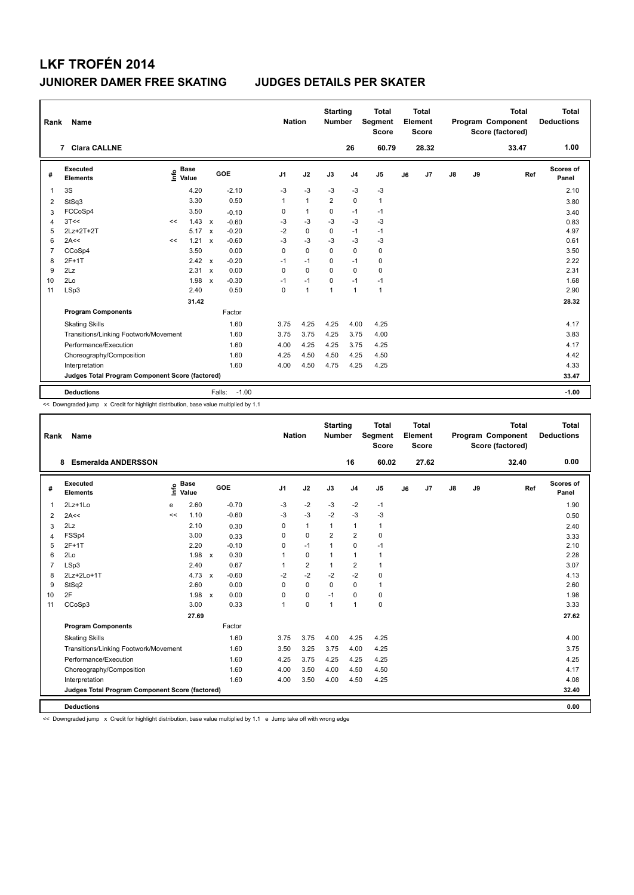| Rank           | Name                                            |      |                      |                           |                   | <b>Nation</b>  |              | <b>Starting</b><br><b>Number</b> |                | <b>Total</b><br>Segment<br><b>Score</b> |    | <b>Total</b><br>Element<br><b>Score</b> |               |    | <b>Total</b><br>Program Component<br>Score (factored) | Total<br><b>Deductions</b> |
|----------------|-------------------------------------------------|------|----------------------|---------------------------|-------------------|----------------|--------------|----------------------------------|----------------|-----------------------------------------|----|-----------------------------------------|---------------|----|-------------------------------------------------------|----------------------------|
|                | <b>Clara CALLNE</b><br>7                        |      |                      |                           |                   |                |              |                                  | 26             | 60.79                                   |    | 28.32                                   |               |    | 33.47                                                 | 1.00                       |
| #              | <b>Executed</b><br><b>Elements</b>              | lnfo | <b>Base</b><br>Value |                           | GOE               | J <sub>1</sub> | J2           | J3                               | J <sub>4</sub> | J <sub>5</sub>                          | J6 | J7                                      | $\mathsf{J}8$ | J9 | Ref                                                   | Scores of<br>Panel         |
| 1              | 3S                                              |      | 4.20                 |                           | $-2.10$           | $-3$           | $-3$         | $-3$                             | $-3$           | -3                                      |    |                                         |               |    |                                                       | 2.10                       |
| 2              | StSq3                                           |      | 3.30                 |                           | 0.50              | 1              | $\mathbf{1}$ | $\overline{2}$                   | $\mathbf 0$    | $\mathbf{1}$                            |    |                                         |               |    |                                                       | 3.80                       |
| 3              | FCCoSp4                                         |      | 3.50                 |                           | $-0.10$           | 0              | $\mathbf{1}$ | $\mathbf 0$                      | $-1$           | $-1$                                    |    |                                         |               |    |                                                       | 3.40                       |
| $\overline{4}$ | 3T<<                                            | <<   | 1.43                 | $\mathsf{x}$              | $-0.60$           | $-3$           | $-3$         | $-3$                             | $-3$           | $-3$                                    |    |                                         |               |    |                                                       | 0.83                       |
| 5              | 2Lz+2T+2T                                       |      | 5.17                 | $\mathsf{x}$              | $-0.20$           | $-2$           | $\mathbf 0$  | $\mathbf 0$                      | $-1$           | $-1$                                    |    |                                         |               |    |                                                       | 4.97                       |
| 6              | 2A<<                                            | <<   | 1.21                 | $\boldsymbol{\mathsf{x}}$ | $-0.60$           | $-3$           | $-3$         | $-3$                             | $-3$           | $-3$                                    |    |                                         |               |    |                                                       | 0.61                       |
| $\overline{7}$ | CCoSp4                                          |      | 3.50                 |                           | 0.00              | 0              | $\Omega$     | $\Omega$                         | $\mathbf 0$    | $\pmb{0}$                               |    |                                         |               |    |                                                       | 3.50                       |
| 8              | $2F+1T$                                         |      | $2.42 \times$        |                           | $-0.20$           | $-1$           | $-1$         | $\Omega$                         | $-1$           | $\mathbf 0$                             |    |                                         |               |    |                                                       | 2.22                       |
| 9              | 2Lz                                             |      | 2.31                 | $\mathsf{x}$              | 0.00              | 0              | $\Omega$     | $\Omega$                         | $\mathbf 0$    | $\pmb{0}$                               |    |                                         |               |    |                                                       | 2.31                       |
| 10             | 2Lo                                             |      | 1.98                 | $\mathsf{x}$              | $-0.30$           | $-1$           | $-1$         | 0                                | $-1$           | $-1$                                    |    |                                         |               |    |                                                       | 1.68                       |
| 11             | LSp3                                            |      | 2.40                 |                           | 0.50              | 0              | $\mathbf{1}$ | $\overline{1}$                   | $\mathbf{1}$   | $\mathbf{1}$                            |    |                                         |               |    |                                                       | 2.90                       |
|                |                                                 |      | 31.42                |                           |                   |                |              |                                  |                |                                         |    |                                         |               |    |                                                       | 28.32                      |
|                | <b>Program Components</b>                       |      |                      |                           | Factor            |                |              |                                  |                |                                         |    |                                         |               |    |                                                       |                            |
|                | <b>Skating Skills</b>                           |      |                      |                           | 1.60              | 3.75           | 4.25         | 4.25                             | 4.00           | 4.25                                    |    |                                         |               |    |                                                       | 4.17                       |
|                | Transitions/Linking Footwork/Movement           |      |                      |                           | 1.60              | 3.75           | 3.75         | 4.25                             | 3.75           | 4.00                                    |    |                                         |               |    |                                                       | 3.83                       |
|                | Performance/Execution                           |      |                      |                           | 1.60              | 4.00           | 4.25         | 4.25                             | 3.75           | 4.25                                    |    |                                         |               |    |                                                       | 4.17                       |
|                | Choreography/Composition                        |      |                      |                           | 1.60              | 4.25           | 4.50         | 4.50                             | 4.25           | 4.50                                    |    |                                         |               |    |                                                       | 4.42                       |
|                | Interpretation                                  |      |                      |                           | 1.60              | 4.00           | 4.50         | 4.75                             | 4.25           | 4.25                                    |    |                                         |               |    |                                                       | 4.33                       |
|                | Judges Total Program Component Score (factored) |      |                      |                           |                   |                |              |                                  |                |                                         |    |                                         |               |    |                                                       | 33.47                      |
|                | <b>Deductions</b>                               |      |                      |                           | $-1.00$<br>Falls: |                |              |                                  |                |                                         |    |                                         |               |    |                                                       | $-1.00$                    |

<< Downgraded jump x Credit for highlight distribution, base value multiplied by 1.1

| Rank           | <b>Name</b>                                     |      |                      |         | <b>Nation</b>  |                | <b>Starting</b><br><b>Number</b> |                | <b>Total</b><br>Segment<br><b>Score</b> |    | Total<br>Element<br><b>Score</b> |               |    | <b>Total</b><br>Program Component<br>Score (factored) |     | <b>Total</b><br><b>Deductions</b> |
|----------------|-------------------------------------------------|------|----------------------|---------|----------------|----------------|----------------------------------|----------------|-----------------------------------------|----|----------------------------------|---------------|----|-------------------------------------------------------|-----|-----------------------------------|
|                | <b>Esmeralda ANDERSSON</b><br>8                 |      |                      |         |                |                |                                  | 16             | 60.02                                   |    | 27.62                            |               |    | 32.40                                                 |     | 0.00                              |
| #              | Executed<br><b>Elements</b>                     | lnfo | <b>Base</b><br>Value | GOE     | J <sub>1</sub> | J2             | J3                               | J <sub>4</sub> | J <sub>5</sub>                          | J6 | J7                               | $\mathsf{J}8$ | J9 |                                                       | Ref | <b>Scores of</b><br>Panel         |
| $\mathbf{1}$   | 2Lz+1Lo                                         | e    | 2.60                 | $-0.70$ | $-3$           | $-2$           | $-3$                             | $-2$           | $-1$                                    |    |                                  |               |    |                                                       |     | 1.90                              |
| 2              | 2A<<                                            | <<   | 1.10                 | $-0.60$ | $-3$           | $-3$           | $-2$                             | $-3$           | $-3$                                    |    |                                  |               |    |                                                       |     | 0.50                              |
| 3              | 2Lz                                             |      | 2.10                 | 0.30    | 0              | $\mathbf{1}$   | 1                                | 1              | $\mathbf{1}$                            |    |                                  |               |    |                                                       |     | 2.40                              |
| $\overline{4}$ | FSSp4                                           |      | 3.00                 | 0.33    | $\Omega$       | 0              | $\overline{2}$                   | $\overline{2}$ | 0                                       |    |                                  |               |    |                                                       |     | 3.33                              |
| 5              | $2F+1T$                                         |      | 2.20                 | $-0.10$ | 0              | $-1$           | 1                                | 0              | $-1$                                    |    |                                  |               |    |                                                       |     | 2.10                              |
| 6              | 2Lo                                             |      | $1.98 \times$        | 0.30    |                | 0              | 1                                | $\mathbf{1}$   | 1                                       |    |                                  |               |    |                                                       |     | 2.28                              |
| 7              | LSp3                                            |      | 2.40                 | 0.67    |                | $\overline{2}$ | 1                                | $\overline{2}$ | $\mathbf{1}$                            |    |                                  |               |    |                                                       |     | 3.07                              |
| 8              | 2Lz+2Lo+1T                                      |      | $4.73 \times$        | $-0.60$ | $-2$           | $-2$           | $-2$                             | $-2$           | 0                                       |    |                                  |               |    |                                                       |     | 4.13                              |
| 9              | StSq2                                           |      | 2.60                 | 0.00    | 0              | 0              | $\mathbf 0$                      | 0              | 1                                       |    |                                  |               |    |                                                       |     | 2.60                              |
| 10             | 2F                                              |      | 1.98 x               | 0.00    | 0              | 0              | $-1$                             | 0              | 0                                       |    |                                  |               |    |                                                       |     | 1.98                              |
| 11             | CCoSp3                                          |      | 3.00                 | 0.33    | 1              | 0              | $\mathbf{1}$                     | $\overline{1}$ | 0                                       |    |                                  |               |    |                                                       |     | 3.33                              |
|                |                                                 |      | 27.69                |         |                |                |                                  |                |                                         |    |                                  |               |    |                                                       |     | 27.62                             |
|                | <b>Program Components</b>                       |      |                      | Factor  |                |                |                                  |                |                                         |    |                                  |               |    |                                                       |     |                                   |
|                | <b>Skating Skills</b>                           |      |                      | 1.60    | 3.75           | 3.75           | 4.00                             | 4.25           | 4.25                                    |    |                                  |               |    |                                                       |     | 4.00                              |
|                | Transitions/Linking Footwork/Movement           |      |                      | 1.60    | 3.50           | 3.25           | 3.75                             | 4.00           | 4.25                                    |    |                                  |               |    |                                                       |     | 3.75                              |
|                | Performance/Execution                           |      |                      | 1.60    | 4.25           | 3.75           | 4.25                             | 4.25           | 4.25                                    |    |                                  |               |    |                                                       |     | 4.25                              |
|                | Choreography/Composition                        |      |                      | 1.60    | 4.00           | 3.50           | 4.00                             | 4.50           | 4.50                                    |    |                                  |               |    |                                                       |     | 4.17                              |
|                | Interpretation                                  |      |                      | 1.60    | 4.00           | 3.50           | 4.00                             | 4.50           | 4.25                                    |    |                                  |               |    |                                                       |     | 4.08                              |
|                | Judges Total Program Component Score (factored) |      |                      |         |                |                |                                  |                |                                         |    |                                  |               |    |                                                       |     | 32.40                             |
|                | <b>Deductions</b>                               |      |                      |         |                |                |                                  |                |                                         |    |                                  |               |    |                                                       |     | 0.00                              |

<< Downgraded jump x Credit for highlight distribution, base value multiplied by 1.1 e Jump take off with wrong edge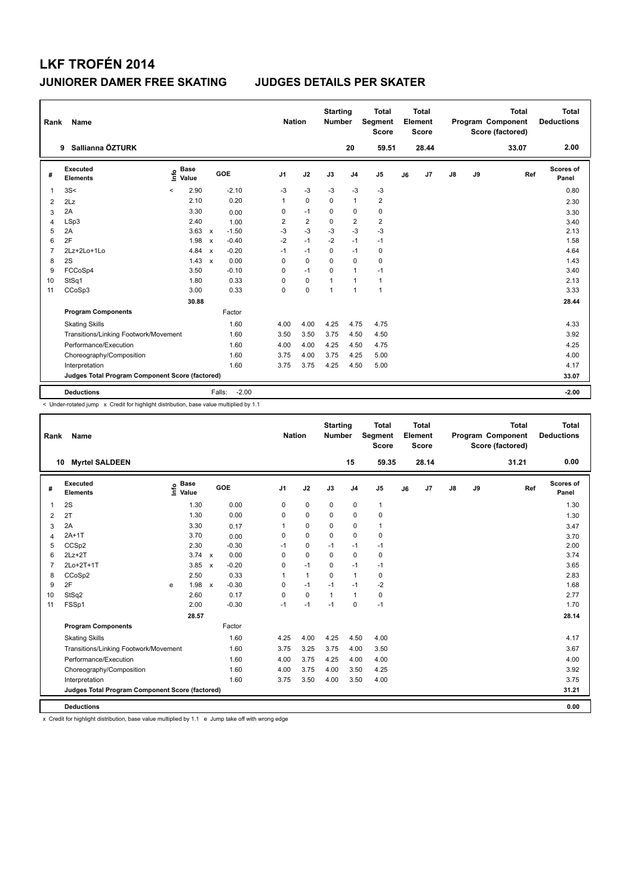| Rank           | Name                                            |                            |                           |                   | <b>Nation</b>  |                | <b>Starting</b><br><b>Number</b> |                | <b>Total</b><br>Segment<br><b>Score</b> |    | Total<br>Element<br><b>Score</b> |               |    | <b>Total</b><br>Program Component<br>Score (factored) | Total<br><b>Deductions</b> |
|----------------|-------------------------------------------------|----------------------------|---------------------------|-------------------|----------------|----------------|----------------------------------|----------------|-----------------------------------------|----|----------------------------------|---------------|----|-------------------------------------------------------|----------------------------|
|                | Sallianna ÖZTURK<br>9                           |                            |                           |                   |                |                |                                  | 20             | 59.51                                   |    | 28.44                            |               |    | 33.07                                                 | 2.00                       |
| #              | Executed<br><b>Elements</b>                     | <b>Base</b><br>۴٥<br>Value |                           | GOE               | J <sub>1</sub> | J2             | J3                               | J <sub>4</sub> | J <sub>5</sub>                          | J6 | J7                               | $\mathsf{J}8$ | J9 | Ref                                                   | Scores of<br>Panel         |
| 1              | 3S<                                             | 2.90<br>$\prec$            |                           | $-2.10$           | -3             | $-3$           | $-3$                             | $-3$           | $-3$                                    |    |                                  |               |    |                                                       | 0.80                       |
| $\overline{2}$ | 2Lz                                             | 2.10                       |                           | 0.20              | $\mathbf{1}$   | $\mathbf 0$    | 0                                | $\mathbf{1}$   | $\overline{2}$                          |    |                                  |               |    |                                                       | 2.30                       |
| 3              | 2A                                              | 3.30                       |                           | 0.00              | 0              | $-1$           | $\mathbf 0$                      | 0              | $\pmb{0}$                               |    |                                  |               |    |                                                       | 3.30                       |
| $\overline{4}$ | LSp3                                            | 2.40                       |                           | 1.00              | 2              | $\overline{2}$ | $\Omega$                         | $\overline{2}$ | $\overline{\mathbf{c}}$                 |    |                                  |               |    |                                                       | 3.40                       |
| 5              | 2A                                              | 3.63                       | $\mathsf{x}$              | $-1.50$           | $-3$           | $-3$           | $-3$                             | $-3$           | $-3$                                    |    |                                  |               |    |                                                       | 2.13                       |
| 6              | 2F                                              | 1.98                       | $\boldsymbol{\mathsf{x}}$ | $-0.40$           | $-2$           | $-1$           | $-2$                             | $-1$           | $-1$                                    |    |                                  |               |    |                                                       | 1.58                       |
| $\overline{7}$ | 2Lz+2Lo+1Lo                                     | 4.84                       | $\boldsymbol{\mathsf{x}}$ | $-0.20$           | $-1$           | $-1$           | $\Omega$                         | $-1$           | 0                                       |    |                                  |               |    |                                                       | 4.64                       |
| 8              | 2S                                              | 1.43                       | $\boldsymbol{\mathsf{x}}$ | 0.00              | $\Omega$       | $\mathbf 0$    | $\Omega$                         | $\Omega$       | $\mathbf 0$                             |    |                                  |               |    |                                                       | 1.43                       |
| 9              | FCCoSp4                                         | 3.50                       |                           | $-0.10$           | 0              | $-1$           | $\mathbf 0$                      | 1              | $-1$                                    |    |                                  |               |    |                                                       | 3.40                       |
| 10             | StSq1                                           | 1.80                       |                           | 0.33              | 0              | $\mathbf 0$    | $\mathbf{1}$                     | $\mathbf{1}$   | $\mathbf{1}$                            |    |                                  |               |    |                                                       | 2.13                       |
| 11             | CCoSp3                                          | 3.00                       |                           | 0.33              | 0              | $\pmb{0}$      | $\mathbf{1}$                     | $\mathbf{1}$   | $\mathbf{1}$                            |    |                                  |               |    |                                                       | 3.33                       |
|                |                                                 | 30.88                      |                           |                   |                |                |                                  |                |                                         |    |                                  |               |    |                                                       | 28.44                      |
|                | <b>Program Components</b>                       |                            |                           | Factor            |                |                |                                  |                |                                         |    |                                  |               |    |                                                       |                            |
|                | <b>Skating Skills</b>                           |                            |                           | 1.60              | 4.00           | 4.00           | 4.25                             | 4.75           | 4.75                                    |    |                                  |               |    |                                                       | 4.33                       |
|                | Transitions/Linking Footwork/Movement           |                            |                           | 1.60              | 3.50           | 3.50           | 3.75                             | 4.50           | 4.50                                    |    |                                  |               |    |                                                       | 3.92                       |
|                | Performance/Execution                           |                            |                           | 1.60              | 4.00           | 4.00           | 4.25                             | 4.50           | 4.75                                    |    |                                  |               |    |                                                       | 4.25                       |
|                | Choreography/Composition                        |                            |                           | 1.60              | 3.75           | 4.00           | 3.75                             | 4.25           | 5.00                                    |    |                                  |               |    |                                                       | 4.00                       |
|                | Interpretation                                  |                            |                           | 1.60              | 3.75           | 3.75           | 4.25                             | 4.50           | 5.00                                    |    |                                  |               |    |                                                       | 4.17                       |
|                | Judges Total Program Component Score (factored) |                            |                           |                   |                |                |                                  |                |                                         |    |                                  |               |    |                                                       | 33.07                      |
|                | <b>Deductions</b>                               |                            |                           | $-2.00$<br>Falls: |                |                |                                  |                |                                         |    |                                  |               |    |                                                       | $-2.00$                    |

< Under-rotated jump x Credit for highlight distribution, base value multiplied by 1.1

| Rank           | Name                                            |                                  |               |                         |                | <b>Nation</b> |              | <b>Starting</b><br><b>Number</b> |                | <b>Total</b><br>Segment<br><b>Score</b> |    | <b>Total</b><br>Element<br>Score |               |    | <b>Total</b><br>Program Component<br>Score (factored) | <b>Total</b><br><b>Deductions</b> |
|----------------|-------------------------------------------------|----------------------------------|---------------|-------------------------|----------------|---------------|--------------|----------------------------------|----------------|-----------------------------------------|----|----------------------------------|---------------|----|-------------------------------------------------------|-----------------------------------|
|                | <b>Myrtel SALDEEN</b><br>10                     |                                  |               |                         |                |               |              |                                  | 15             | 59.35                                   |    | 28.14                            |               |    | 31.21                                                 | 0.00                              |
| #              | Executed<br><b>Elements</b>                     | $\overset{\circ}{\text{E}}$ Pase |               | <b>GOE</b>              | J <sub>1</sub> |               | J2           | J3                               | J <sub>4</sub> | J <sub>5</sub>                          | J6 | J7                               | $\mathsf{J}8$ | J9 | Ref                                                   | Scores of<br>Panel                |
| 1              | 2S                                              |                                  | 1.30          | 0.00                    | 0              |               | 0            | $\mathbf 0$                      | $\mathbf 0$    | $\mathbf{1}$                            |    |                                  |               |    |                                                       | 1.30                              |
| 2              | 2T                                              |                                  | 1.30          | 0.00                    | 0              |               | $\mathbf 0$  | $\Omega$                         | $\mathbf 0$    | 0                                       |    |                                  |               |    |                                                       | 1.30                              |
| 3              | 2A                                              |                                  | 3.30          | 0.17                    | 1              |               | $\mathbf 0$  | 0                                | $\mathbf 0$    | $\mathbf{1}$                            |    |                                  |               |    |                                                       | 3.47                              |
| $\overline{4}$ | $2A+1T$                                         |                                  | 3.70          | 0.00                    | 0              |               | $\mathbf 0$  | $\Omega$                         | $\mathbf 0$    | 0                                       |    |                                  |               |    |                                                       | 3.70                              |
| 5              | CCSp2                                           |                                  | 2.30          | $-0.30$                 | $-1$           |               | $\mathbf 0$  | $-1$                             | $-1$           | $-1$                                    |    |                                  |               |    |                                                       | 2.00                              |
| 6              | $2Lz+2T$                                        |                                  | $3.74 \times$ | 0.00                    | 0              |               | $\mathbf 0$  | 0                                | $\mathbf 0$    | 0                                       |    |                                  |               |    |                                                       | 3.74                              |
| $\overline{7}$ | 2Lo+2T+1T                                       |                                  | 3.85          | $-0.20$<br>$\mathsf{x}$ | 0              |               | $-1$         | 0                                | $-1$           | $-1$                                    |    |                                  |               |    |                                                       | 3.65                              |
| 8              | CCoSp2                                          |                                  | 2.50          | 0.33                    | 1              |               | $\mathbf{1}$ | $\Omega$                         | $\mathbf{1}$   | 0                                       |    |                                  |               |    |                                                       | 2.83                              |
| 9              | 2F                                              | e                                | 1.98          | $-0.30$<br>$\mathsf{x}$ | 0              |               | $-1$         | $-1$                             | $-1$           | $-2$                                    |    |                                  |               |    |                                                       | 1.68                              |
| 10             | StSq2                                           |                                  | 2.60          | 0.17                    | $\mathbf 0$    |               | $\mathbf 0$  | $\mathbf{1}$                     | $\mathbf{1}$   | 0                                       |    |                                  |               |    |                                                       | 2.77                              |
| 11             | FSSp1                                           |                                  | 2.00          | $-0.30$                 | $-1$           |               | $-1$         | $-1$                             | $\mathbf 0$    | $-1$                                    |    |                                  |               |    |                                                       | 1.70                              |
|                |                                                 |                                  | 28.57         |                         |                |               |              |                                  |                |                                         |    |                                  |               |    |                                                       | 28.14                             |
|                | <b>Program Components</b>                       |                                  |               | Factor                  |                |               |              |                                  |                |                                         |    |                                  |               |    |                                                       |                                   |
|                | <b>Skating Skills</b>                           |                                  |               | 1.60                    | 4.25           |               | 4.00         | 4.25                             | 4.50           | 4.00                                    |    |                                  |               |    |                                                       | 4.17                              |
|                | Transitions/Linking Footwork/Movement           |                                  |               | 1.60                    | 3.75           |               | 3.25         | 3.75                             | 4.00           | 3.50                                    |    |                                  |               |    |                                                       | 3.67                              |
|                | Performance/Execution                           |                                  |               | 1.60                    | 4.00           |               | 3.75         | 4.25                             | 4.00           | 4.00                                    |    |                                  |               |    |                                                       | 4.00                              |
|                | Choreography/Composition                        |                                  |               | 1.60                    | 4.00           |               | 3.75         | 4.00                             | 3.50           | 4.25                                    |    |                                  |               |    |                                                       | 3.92                              |
|                | Interpretation                                  |                                  |               | 1.60                    | 3.75           |               | 3.50         | 4.00                             | 3.50           | 4.00                                    |    |                                  |               |    |                                                       | 3.75                              |
|                | Judges Total Program Component Score (factored) |                                  |               |                         |                |               |              |                                  |                |                                         |    |                                  |               |    |                                                       | 31.21                             |
|                | <b>Deductions</b>                               |                                  |               |                         |                |               |              |                                  |                |                                         |    |                                  |               |    |                                                       | 0.00                              |

x Credit for highlight distribution, base value multiplied by 1.1 e Jump take off with wrong edge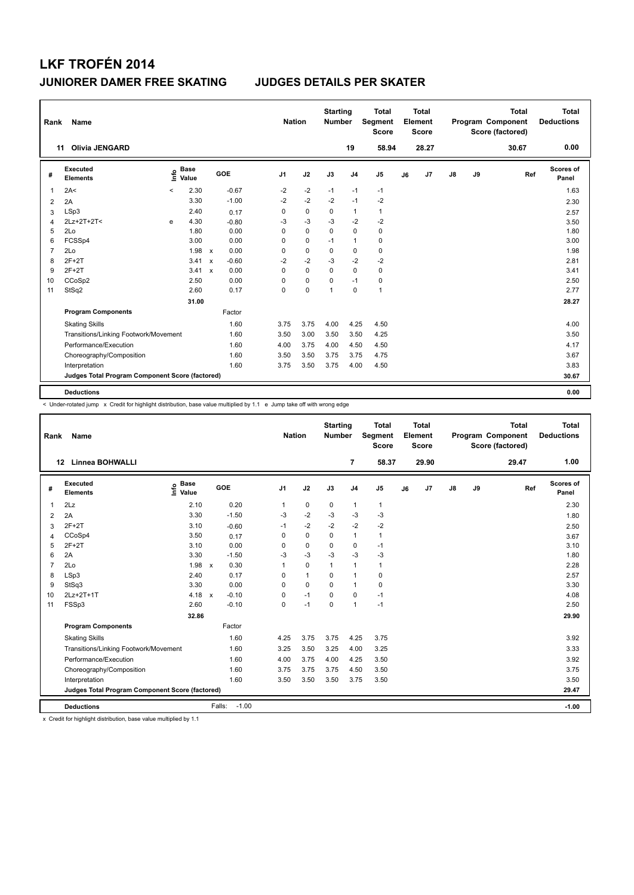| Rank           | Name                                            |         |                      |              |         | <b>Nation</b>  |             | <b>Starting</b><br><b>Number</b> |                | <b>Total</b><br>Segment<br><b>Score</b> |    | <b>Total</b><br>Element<br><b>Score</b> |               |    | <b>Total</b><br>Program Component<br>Score (factored) |     | Total<br><b>Deductions</b> |
|----------------|-------------------------------------------------|---------|----------------------|--------------|---------|----------------|-------------|----------------------------------|----------------|-----------------------------------------|----|-----------------------------------------|---------------|----|-------------------------------------------------------|-----|----------------------------|
| 11             | <b>Olivia JENGARD</b>                           |         |                      |              |         |                |             |                                  | 19             | 58.94                                   |    | 28.27                                   |               |    | 30.67                                                 |     | 0.00                       |
| #              | Executed<br><b>Elements</b>                     | lnfo    | <b>Base</b><br>Value |              | GOE     | J <sub>1</sub> | J2          | J3                               | J <sub>4</sub> | J <sub>5</sub>                          | J6 | J7                                      | $\mathsf{J}8$ | J9 |                                                       | Ref | Scores of<br>Panel         |
| 1              | 2A<                                             | $\prec$ | 2.30                 |              | $-0.67$ | $-2$           | $-2$        | $-1$                             | $-1$           | $-1$                                    |    |                                         |               |    |                                                       |     | 1.63                       |
| 2              | 2A                                              |         | 3.30                 |              | $-1.00$ | $-2$           | $-2$        | $-2$                             | $-1$           | $-2$                                    |    |                                         |               |    |                                                       |     | 2.30                       |
| 3              | LSp3                                            |         | 2.40                 |              | 0.17    | 0              | $\mathbf 0$ | 0                                | 1              | $\mathbf{1}$                            |    |                                         |               |    |                                                       |     | 2.57                       |
| 4              | 2Lz+2T+2T<                                      | e       | 4.30                 |              | $-0.80$ | $-3$           | $-3$        | $-3$                             | $-2$           | $-2$                                    |    |                                         |               |    |                                                       |     | 3.50                       |
| 5              | 2Lo                                             |         | 1.80                 |              | 0.00    | $\Omega$       | $\mathbf 0$ | $\mathbf 0$                      | $\mathbf 0$    | 0                                       |    |                                         |               |    |                                                       |     | 1.80                       |
| 6              | FCSSp4                                          |         | 3.00                 |              | 0.00    | 0              | 0           | $-1$                             | $\mathbf{1}$   | 0                                       |    |                                         |               |    |                                                       |     | 3.00                       |
| $\overline{7}$ | 2Lo                                             |         | 1.98                 | $\mathbf{x}$ | 0.00    | 0              | $\mathbf 0$ | $\mathbf 0$                      | 0              | $\pmb{0}$                               |    |                                         |               |    |                                                       |     | 1.98                       |
| 8              | $2F+2T$                                         |         | 3.41                 | $\mathsf{x}$ | $-0.60$ | $-2$           | $-2$        | $-3$                             | $-2$           | $-2$                                    |    |                                         |               |    |                                                       |     | 2.81                       |
| 9              | $2F+2T$                                         |         | 3.41                 | $\mathsf{x}$ | 0.00    | $\Omega$       | $\mathbf 0$ | $\mathbf 0$                      | 0              | $\mathbf 0$                             |    |                                         |               |    |                                                       |     | 3.41                       |
| 10             | CCoSp2                                          |         | 2.50                 |              | 0.00    | $\Omega$       | $\mathbf 0$ | $\Omega$                         | $-1$           | 0                                       |    |                                         |               |    |                                                       |     | 2.50                       |
| 11             | StSq2                                           |         | 2.60                 |              | 0.17    | $\mathbf 0$    | $\pmb{0}$   | 1                                | 0              | $\mathbf{1}$                            |    |                                         |               |    |                                                       |     | 2.77                       |
|                |                                                 |         | 31.00                |              |         |                |             |                                  |                |                                         |    |                                         |               |    |                                                       |     | 28.27                      |
|                | <b>Program Components</b>                       |         |                      |              | Factor  |                |             |                                  |                |                                         |    |                                         |               |    |                                                       |     |                            |
|                | <b>Skating Skills</b>                           |         |                      |              | 1.60    | 3.75           | 3.75        | 4.00                             | 4.25           | 4.50                                    |    |                                         |               |    |                                                       |     | 4.00                       |
|                | Transitions/Linking Footwork/Movement           |         |                      |              | 1.60    | 3.50           | 3.00        | 3.50                             | 3.50           | 4.25                                    |    |                                         |               |    |                                                       |     | 3.50                       |
|                | Performance/Execution                           |         |                      |              | 1.60    | 4.00           | 3.75        | 4.00                             | 4.50           | 4.50                                    |    |                                         |               |    |                                                       |     | 4.17                       |
|                | Choreography/Composition                        |         |                      |              | 1.60    | 3.50           | 3.50        | 3.75                             | 3.75           | 4.75                                    |    |                                         |               |    |                                                       |     | 3.67                       |
|                | Interpretation                                  |         |                      |              | 1.60    | 3.75           | 3.50        | 3.75                             | 4.00           | 4.50                                    |    |                                         |               |    |                                                       |     | 3.83                       |
|                | Judges Total Program Component Score (factored) |         |                      |              |         |                |             |                                  |                |                                         |    |                                         |               |    |                                                       |     | 30.67                      |
|                | <b>Deductions</b>                               |         |                      |              |         |                |             |                                  |                |                                         |    |                                         |               |    |                                                       |     | 0.00                       |

< Under-rotated jump x Credit for highlight distribution, base value multiplied by 1.1 e Jump take off with wrong edge

| Rank            | <b>Name</b>                                     |                       |                         | <b>Nation</b>  |              | <b>Starting</b><br><b>Number</b> |                | <b>Total</b><br>Segment<br><b>Score</b> |    | <b>Total</b><br>Element<br>Score |    |    | <b>Total</b><br>Program Component<br>Score (factored) | <b>Total</b><br><b>Deductions</b> |
|-----------------|-------------------------------------------------|-----------------------|-------------------------|----------------|--------------|----------------------------------|----------------|-----------------------------------------|----|----------------------------------|----|----|-------------------------------------------------------|-----------------------------------|
|                 | <b>Linnea BOHWALLI</b><br>12                    |                       |                         |                |              |                                  | $\overline{7}$ | 58.37                                   |    | 29.90                            |    |    | 29.47                                                 | 1.00                              |
| #               | Executed<br><b>Elements</b>                     | $\sum_{i=1}^{n}$ Base | GOE                     | J <sub>1</sub> | J2           | J3                               | J <sub>4</sub> | J <sub>5</sub>                          | J6 | J7                               | J8 | J9 | Ref                                                   | <b>Scores of</b><br>Panel         |
| $\mathbf{1}$    | 2Lz                                             | 2.10                  | 0.20                    | $\mathbf{1}$   | $\mathbf 0$  | 0                                | $\mathbf{1}$   | $\mathbf{1}$                            |    |                                  |    |    |                                                       | 2.30                              |
| 2               | 2A                                              | 3.30                  | $-1.50$                 | -3             | $-2$         | $-3$                             | $-3$           | $-3$                                    |    |                                  |    |    |                                                       | 1.80                              |
| 3               | $2F+2T$                                         | 3.10                  | $-0.60$                 | $-1$           | $-2$         | $-2$                             | $-2$           | $-2$                                    |    |                                  |    |    |                                                       | 2.50                              |
| 4               | CCoSp4                                          | 3.50                  | 0.17                    | 0              | $\mathbf 0$  | $\Omega$                         | $\mathbf{1}$   | $\mathbf{1}$                            |    |                                  |    |    |                                                       | 3.67                              |
| 5               | $2F+2T$                                         | 3.10                  | 0.00                    | 0              | $\mathbf 0$  | $\mathbf 0$                      | $\mathbf 0$    | $-1$                                    |    |                                  |    |    |                                                       | 3.10                              |
| 6               | 2A                                              | 3.30                  | $-1.50$                 | -3             | $-3$         | -3                               | $-3$           | $-3$                                    |    |                                  |    |    |                                                       | 1.80                              |
| $\overline{7}$  | 2Lo                                             | 1.98                  | 0.30<br>$\mathsf{x}$    | $\mathbf{1}$   | $\mathbf 0$  | $\mathbf{1}$                     | $\mathbf{1}$   | $\mathbf{1}$                            |    |                                  |    |    |                                                       | 2.28                              |
| 8               | LSp3                                            | 2.40                  | 0.17                    | 0              | $\mathbf{1}$ | $\Omega$                         | $\mathbf{1}$   | $\pmb{0}$                               |    |                                  |    |    |                                                       | 2.57                              |
| 9               | StSq3                                           | 3.30                  | 0.00                    | $\Omega$       | $\mathbf 0$  | $\mathbf 0$                      | $\mathbf{1}$   | 0                                       |    |                                  |    |    |                                                       | 3.30                              |
| 10 <sup>1</sup> | 2Lz+2T+1T                                       | 4.18                  | $-0.10$<br>$\mathsf{x}$ | 0              | $-1$         | $\Omega$                         | $\mathbf 0$    | $-1$                                    |    |                                  |    |    |                                                       | 4.08                              |
| 11              | FSSp3                                           | 2.60                  | $-0.10$                 | 0              | $-1$         | $\mathbf 0$                      | $\mathbf{1}$   | $-1$                                    |    |                                  |    |    |                                                       | 2.50                              |
|                 |                                                 | 32.86                 |                         |                |              |                                  |                |                                         |    |                                  |    |    |                                                       | 29.90                             |
|                 | <b>Program Components</b>                       |                       | Factor                  |                |              |                                  |                |                                         |    |                                  |    |    |                                                       |                                   |
|                 | <b>Skating Skills</b>                           |                       | 1.60                    | 4.25           | 3.75         | 3.75                             | 4.25           | 3.75                                    |    |                                  |    |    |                                                       | 3.92                              |
|                 | Transitions/Linking Footwork/Movement           |                       | 1.60                    | 3.25           | 3.50         | 3.25                             | 4.00           | 3.25                                    |    |                                  |    |    |                                                       | 3.33                              |
|                 | Performance/Execution                           |                       | 1.60                    | 4.00           | 3.75         | 4.00                             | 4.25           | 3.50                                    |    |                                  |    |    |                                                       | 3.92                              |
|                 | Choreography/Composition                        |                       | 1.60                    | 3.75           | 3.75         | 3.75                             | 4.50           | 3.50                                    |    |                                  |    |    |                                                       | 3.75                              |
|                 | Interpretation                                  |                       | 1.60                    | 3.50           | 3.50         | 3.50                             | 3.75           | 3.50                                    |    |                                  |    |    |                                                       | 3.50                              |
|                 | Judges Total Program Component Score (factored) |                       |                         |                |              |                                  |                |                                         |    |                                  |    |    |                                                       | 29.47                             |
|                 | <b>Deductions</b>                               |                       | $-1.00$<br>Falls:       |                |              |                                  |                |                                         |    |                                  |    |    |                                                       | $-1.00$                           |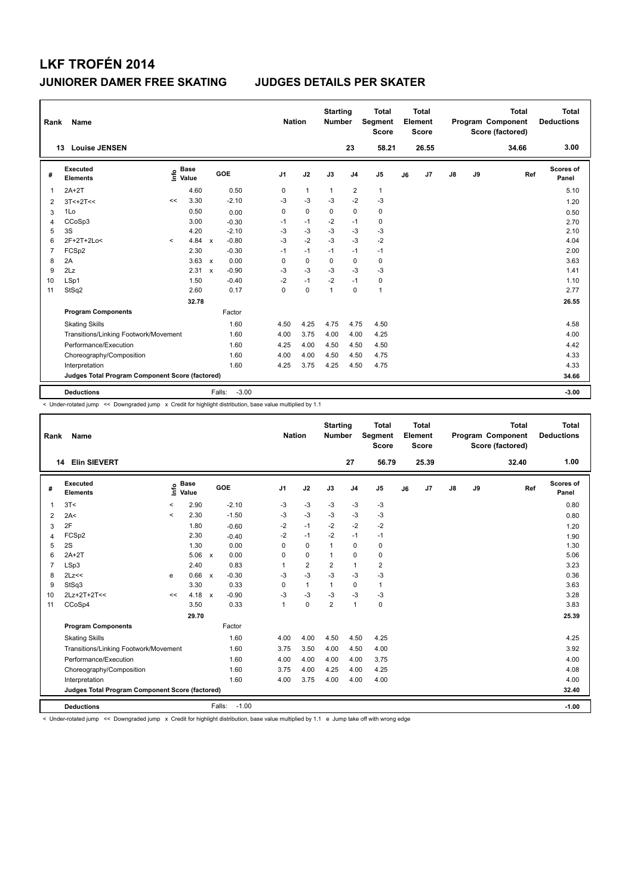| Rank           | Name                                            |         |                      |                           |                   | <b>Nation</b>  |              | <b>Starting</b><br><b>Number</b> |                | <b>Total</b><br><b>Segment</b><br><b>Score</b> |    | <b>Total</b><br>Element<br><b>Score</b> |               |    | <b>Total</b><br>Program Component<br>Score (factored) | <b>Total</b><br><b>Deductions</b> |
|----------------|-------------------------------------------------|---------|----------------------|---------------------------|-------------------|----------------|--------------|----------------------------------|----------------|------------------------------------------------|----|-----------------------------------------|---------------|----|-------------------------------------------------------|-----------------------------------|
|                | <b>Louise JENSEN</b><br>13                      |         |                      |                           |                   |                |              |                                  | 23             | 58.21                                          |    | 26.55                                   |               |    | 34.66                                                 | 3.00                              |
| #              | <b>Executed</b><br><b>Elements</b>              | ۴       | <b>Base</b><br>Value |                           | GOE               | J <sub>1</sub> | J2           | J3                               | J <sub>4</sub> | J <sub>5</sub>                                 | J6 | J <sub>7</sub>                          | $\mathsf{J}8$ | J9 | Ref                                                   | Scores of<br>Panel                |
| 1              | $2A+2T$                                         |         | 4.60                 |                           | 0.50              | 0              | $\mathbf{1}$ | $\mathbf{1}$                     | $\overline{2}$ | $\mathbf{1}$                                   |    |                                         |               |    |                                                       | 5.10                              |
| 2              | $3T<+2T<<$                                      | <<      | 3.30                 |                           | $-2.10$           | -3             | $-3$         | -3                               | $-2$           | $-3$                                           |    |                                         |               |    |                                                       | 1.20                              |
| 3              | 1Lo                                             |         | 0.50                 |                           | 0.00              | 0              | $\mathbf 0$  | $\mathbf 0$                      | $\mathbf 0$    | $\mathbf 0$                                    |    |                                         |               |    |                                                       | 0.50                              |
| 4              | CCoSp3                                          |         | 3.00                 |                           | $-0.30$           | $-1$           | $-1$         | $-2$                             | $-1$           | 0                                              |    |                                         |               |    |                                                       | 2.70                              |
| 5              | 3S                                              |         | 4.20                 |                           | $-2.10$           | -3             | $-3$         | $-3$                             | -3             | $-3$                                           |    |                                         |               |    |                                                       | 2.10                              |
| 6              | 2F+2T+2Lo<                                      | $\prec$ | 4.84                 | $\boldsymbol{\mathsf{x}}$ | $-0.80$           | $-3$           | $-2$         | $-3$                             | $-3$           | $-2$                                           |    |                                         |               |    |                                                       | 4.04                              |
| $\overline{7}$ | FCSp2                                           |         | 2.30                 |                           | $-0.30$           | $-1$           | $-1$         | $-1$                             | $-1$           | $-1$                                           |    |                                         |               |    |                                                       | 2.00                              |
| 8              | 2A                                              |         | 3.63                 | $\mathsf{x}$              | 0.00              | $\Omega$       | 0            | $\Omega$                         | 0              | 0                                              |    |                                         |               |    |                                                       | 3.63                              |
| 9              | 2Lz                                             |         | 2.31                 | $\mathsf{x}$              | $-0.90$           | -3             | $-3$         | -3                               | -3             | $-3$                                           |    |                                         |               |    |                                                       | 1.41                              |
| 10             | LSp1                                            |         | 1.50                 |                           | $-0.40$           | $-2$           | $-1$         | $-2$                             | $-1$           | 0                                              |    |                                         |               |    |                                                       | 1.10                              |
| 11             | StSq2                                           |         | 2.60                 |                           | 0.17              | $\Omega$       | $\mathbf 0$  | $\overline{1}$                   | $\mathbf 0$    | $\mathbf{1}$                                   |    |                                         |               |    |                                                       | 2.77                              |
|                |                                                 |         | 32.78                |                           |                   |                |              |                                  |                |                                                |    |                                         |               |    |                                                       | 26.55                             |
|                | <b>Program Components</b>                       |         |                      |                           | Factor            |                |              |                                  |                |                                                |    |                                         |               |    |                                                       |                                   |
|                | <b>Skating Skills</b>                           |         |                      |                           | 1.60              | 4.50           | 4.25         | 4.75                             | 4.75           | 4.50                                           |    |                                         |               |    |                                                       | 4.58                              |
|                | Transitions/Linking Footwork/Movement           |         |                      |                           | 1.60              | 4.00           | 3.75         | 4.00                             | 4.00           | 4.25                                           |    |                                         |               |    |                                                       | 4.00                              |
|                | Performance/Execution                           |         |                      |                           | 1.60              | 4.25           | 4.00         | 4.50                             | 4.50           | 4.50                                           |    |                                         |               |    |                                                       | 4.42                              |
|                | Choreography/Composition                        |         |                      |                           | 1.60              | 4.00           | 4.00         | 4.50                             | 4.50           | 4.75                                           |    |                                         |               |    |                                                       | 4.33                              |
|                | Interpretation                                  |         |                      |                           | 1.60              | 4.25           | 3.75         | 4.25                             | 4.50           | 4.75                                           |    |                                         |               |    |                                                       | 4.33                              |
|                | Judges Total Program Component Score (factored) |         |                      |                           |                   |                |              |                                  |                |                                                |    |                                         |               |    |                                                       | 34.66                             |
|                | <b>Deductions</b>                               |         |                      |                           | $-3.00$<br>Falls: |                |              |                                  |                |                                                |    |                                         |               |    |                                                       | $-3.00$                           |

< Under-rotated jump << Downgraded jump x Credit for highlight distribution, base value multiplied by 1.1

| Rank           | <b>Name</b>                                     |         |                      |              |                   |                | <b>Nation</b> |                | <b>Starting</b><br><b>Number</b> |                | <b>Total</b><br>Segment<br><b>Score</b> |    | <b>Total</b><br>Element<br><b>Score</b> |               |    | <b>Total</b><br>Program Component<br>Score (factored) | Total<br><b>Deductions</b> |         |
|----------------|-------------------------------------------------|---------|----------------------|--------------|-------------------|----------------|---------------|----------------|----------------------------------|----------------|-----------------------------------------|----|-----------------------------------------|---------------|----|-------------------------------------------------------|----------------------------|---------|
|                | <b>Elin SIEVERT</b><br>14                       |         |                      |              |                   |                |               |                |                                  | 27             | 56.79                                   |    | 25.39                                   |               |    | 32.40                                                 |                            | 1.00    |
| #              | Executed<br><b>Elements</b>                     | Info    | <b>Base</b><br>Value |              | GOE               | J <sub>1</sub> |               | J2             | J3                               | J <sub>4</sub> | J <sub>5</sub>                          | J6 | J <sub>7</sub>                          | $\mathsf{J}8$ | J9 | Ref                                                   | Scores of<br>Panel         |         |
| $\mathbf{1}$   | 3T<                                             | $\prec$ | 2.90                 |              | $-2.10$           | -3             |               | $-3$           | -3                               | $-3$           | $-3$                                    |    |                                         |               |    |                                                       |                            | 0.80    |
| 2              | 2A<                                             | $\prec$ | 2.30                 |              | $-1.50$           | -3             |               | $-3$           | $-3$                             | $-3$           | $-3$                                    |    |                                         |               |    |                                                       |                            | 0.80    |
| 3              | 2F                                              |         | 1.80                 |              | $-0.60$           | $-2$           |               | $-1$           | $-2$                             | $-2$           | $-2$                                    |    |                                         |               |    |                                                       |                            | 1.20    |
| 4              | FCSp2                                           |         | 2.30                 |              | $-0.40$           | $-2$           |               | $-1$           | $-2$                             | $-1$           | $-1$                                    |    |                                         |               |    |                                                       |                            | 1.90    |
| 5              | 2S                                              |         | 1.30                 |              | 0.00              | $\Omega$       |               | $\mathbf 0$    | 1                                | $\mathbf 0$    | $\mathbf 0$                             |    |                                         |               |    |                                                       |                            | 1.30    |
| 6              | $2A+2T$                                         |         | 5.06                 | $\mathbf{x}$ | 0.00              | 0              |               | $\mathbf 0$    | $\mathbf{1}$                     | 0              | 0                                       |    |                                         |               |    |                                                       |                            | 5.06    |
| $\overline{7}$ | LSp3                                            |         | 2.40                 |              | 0.83              | 1              |               | $\overline{2}$ | $\overline{2}$                   | $\mathbf{1}$   | $\overline{2}$                          |    |                                         |               |    |                                                       |                            | 3.23    |
| 8              | 2Lz<<                                           | e       | 0.66                 | $\mathsf{x}$ | $-0.30$           | $-3$           |               | $-3$           | $-3$                             | $-3$           | $-3$                                    |    |                                         |               |    |                                                       |                            | 0.36    |
| 9              | StSq3                                           |         | 3.30                 |              | 0.33              | $\Omega$       |               | $\mathbf{1}$   | $\mathbf{1}$                     | $\mathbf 0$    | 1                                       |    |                                         |               |    |                                                       |                            | 3.63    |
| 10             | 2Lz+2T+2T<<                                     | <<      | 4.18                 | $\mathbf{x}$ | $-0.90$           | -3             |               | $-3$           | $-3$                             | $-3$           | $-3$                                    |    |                                         |               |    |                                                       |                            | 3.28    |
| 11             | CCoSp4                                          |         | 3.50                 |              | 0.33              | $\overline{1}$ |               | $\mathbf 0$    | $\overline{2}$                   | $\mathbf{1}$   | $\mathbf 0$                             |    |                                         |               |    |                                                       |                            | 3.83    |
|                |                                                 |         | 29.70                |              |                   |                |               |                |                                  |                |                                         |    |                                         |               |    |                                                       |                            | 25.39   |
|                | <b>Program Components</b>                       |         |                      |              | Factor            |                |               |                |                                  |                |                                         |    |                                         |               |    |                                                       |                            |         |
|                | <b>Skating Skills</b>                           |         |                      |              | 1.60              | 4.00           |               | 4.00           | 4.50                             | 4.50           | 4.25                                    |    |                                         |               |    |                                                       |                            | 4.25    |
|                | Transitions/Linking Footwork/Movement           |         |                      |              | 1.60              | 3.75           |               | 3.50           | 4.00                             | 4.50           | 4.00                                    |    |                                         |               |    |                                                       |                            | 3.92    |
|                | Performance/Execution                           |         |                      |              | 1.60              | 4.00           |               | 4.00           | 4.00                             | 4.00           | 3.75                                    |    |                                         |               |    |                                                       |                            | 4.00    |
|                | Choreography/Composition                        |         |                      |              | 1.60              | 3.75           |               | 4.00           | 4.25                             | 4.00           | 4.25                                    |    |                                         |               |    |                                                       |                            | 4.08    |
|                | Interpretation                                  |         |                      |              | 1.60              | 4.00           |               | 3.75           | 4.00                             | 4.00           | 4.00                                    |    |                                         |               |    |                                                       |                            | 4.00    |
|                | Judges Total Program Component Score (factored) |         |                      |              |                   |                |               |                |                                  |                |                                         |    |                                         |               |    |                                                       |                            | 32.40   |
|                | <b>Deductions</b>                               |         |                      |              | $-1.00$<br>Falls: |                |               |                |                                  |                |                                         |    |                                         |               |    |                                                       |                            | $-1.00$ |

< Under-rotated jump << Downgraded jump x Credit for highlight distribution, base value multiplied by 1.1 e Jump take off with wrong edge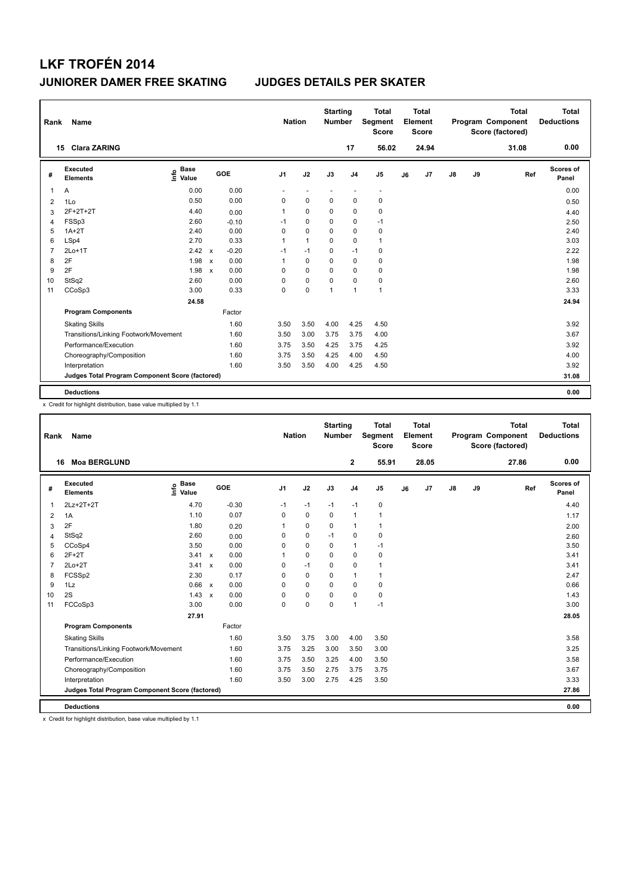| Rank           | Name                                            |                              |              |         | <b>Nation</b>  |                          | <b>Starting</b><br><b>Number</b> |                | <b>Total</b><br>Segment<br><b>Score</b> |    | <b>Total</b><br>Element<br><b>Score</b> |               |    | <b>Total</b><br>Program Component<br>Score (factored) | <b>Total</b><br><b>Deductions</b> |
|----------------|-------------------------------------------------|------------------------------|--------------|---------|----------------|--------------------------|----------------------------------|----------------|-----------------------------------------|----|-----------------------------------------|---------------|----|-------------------------------------------------------|-----------------------------------|
|                | <b>Clara ZARING</b><br>15                       |                              |              |         |                |                          |                                  | 17             | 56.02                                   |    | 24.94                                   |               |    | 31.08                                                 | 0.00                              |
| #              | <b>Executed</b><br><b>Elements</b>              | <b>Base</b><br>١nf٥<br>Value |              | GOE     | J <sub>1</sub> | J2                       | J3                               | J <sub>4</sub> | J <sub>5</sub>                          | J6 | J7                                      | $\mathsf{J}8$ | J9 | Ref                                                   | <b>Scores of</b><br>Panel         |
| 1              | Α                                               | 0.00                         |              | 0.00    | ÷              | $\overline{\phantom{a}}$ | $\overline{\phantom{a}}$         | ٠              | $\overline{\phantom{a}}$                |    |                                         |               |    |                                                       | 0.00                              |
| 2              | 1Lo                                             | 0.50                         |              | 0.00    | 0              | $\mathbf 0$              | 0                                | 0              | 0                                       |    |                                         |               |    |                                                       | 0.50                              |
| 3              | 2F+2T+2T                                        | 4.40                         |              | 0.00    | 1              | 0                        | 0                                | $\mathbf 0$    | $\mathbf 0$                             |    |                                         |               |    |                                                       | 4.40                              |
| 4              | FSSp3                                           | 2.60                         |              | $-0.10$ | $-1$           | 0                        | 0                                | 0              | $-1$                                    |    |                                         |               |    |                                                       | 2.50                              |
| 5              | $1A+2T$                                         | 2.40                         |              | 0.00    | 0              | $\mathbf 0$              | 0                                | 0              | $\pmb{0}$                               |    |                                         |               |    |                                                       | 2.40                              |
| 6              | LSp4                                            | 2.70                         |              | 0.33    | 1              | $\mathbf{1}$             | 0                                | $\mathbf 0$    | $\mathbf{1}$                            |    |                                         |               |    |                                                       | 3.03                              |
| $\overline{7}$ | $2Lo+1T$                                        | 2.42                         | $\mathsf{x}$ | $-0.20$ | $-1$           | $-1$                     | 0                                | $-1$           | 0                                       |    |                                         |               |    |                                                       | 2.22                              |
| 8              | 2F                                              | 1.98                         | $\mathsf{x}$ | 0.00    | 1              | 0                        | 0                                | 0              | 0                                       |    |                                         |               |    |                                                       | 1.98                              |
| 9              | 2F                                              | 1.98                         | $\mathsf{x}$ | 0.00    | 0              | 0                        | 0                                | 0              | 0                                       |    |                                         |               |    |                                                       | 1.98                              |
| 10             | StSq2                                           | 2.60                         |              | 0.00    | 0              | $\mathbf 0$              | 0                                | $\mathbf 0$    | 0                                       |    |                                         |               |    |                                                       | 2.60                              |
| 11             | CCoSp3                                          | 3.00                         |              | 0.33    | 0              | 0                        | $\overline{1}$                   | $\overline{1}$ | $\mathbf{1}$                            |    |                                         |               |    |                                                       | 3.33                              |
|                |                                                 | 24.58                        |              |         |                |                          |                                  |                |                                         |    |                                         |               |    |                                                       | 24.94                             |
|                | <b>Program Components</b>                       |                              |              | Factor  |                |                          |                                  |                |                                         |    |                                         |               |    |                                                       |                                   |
|                | <b>Skating Skills</b>                           |                              |              | 1.60    | 3.50           | 3.50                     | 4.00                             | 4.25           | 4.50                                    |    |                                         |               |    |                                                       | 3.92                              |
|                | Transitions/Linking Footwork/Movement           |                              |              | 1.60    | 3.50           | 3.00                     | 3.75                             | 3.75           | 4.00                                    |    |                                         |               |    |                                                       | 3.67                              |
|                | Performance/Execution                           |                              |              | 1.60    | 3.75           | 3.50                     | 4.25                             | 3.75           | 4.25                                    |    |                                         |               |    |                                                       | 3.92                              |
|                | Choreography/Composition                        |                              |              | 1.60    | 3.75           | 3.50                     | 4.25                             | 4.00           | 4.50                                    |    |                                         |               |    |                                                       | 4.00                              |
|                | Interpretation                                  |                              |              | 1.60    | 3.50           | 3.50                     | 4.00                             | 4.25           | 4.50                                    |    |                                         |               |    |                                                       | 3.92                              |
|                | Judges Total Program Component Score (factored) |                              |              |         |                |                          |                                  |                |                                         |    |                                         |               |    |                                                       | 31.08                             |
|                | <b>Deductions</b>                               |                              |              |         |                |                          |                                  |                |                                         |    |                                         |               |    |                                                       | 0.00                              |

x Credit for highlight distribution, base value multiplied by 1.1

| Rank           | Name                                            |                                  |         |                | <b>Nation</b> | <b>Starting</b><br><b>Number</b> |                | <b>Total</b><br>Segment<br><b>Score</b> |    | <b>Total</b><br>Element<br><b>Score</b> |               |    | <b>Total</b><br>Program Component<br>Score (factored) |     | <b>Total</b><br><b>Deductions</b> |
|----------------|-------------------------------------------------|----------------------------------|---------|----------------|---------------|----------------------------------|----------------|-----------------------------------------|----|-----------------------------------------|---------------|----|-------------------------------------------------------|-----|-----------------------------------|
|                | <b>Moa BERGLUND</b><br>16                       |                                  |         |                |               |                                  | $\overline{2}$ | 55.91                                   |    | 28.05                                   |               |    | 27.86                                                 |     | 0.00                              |
| #              | Executed<br><b>Elements</b>                     | <b>Base</b><br>e Base<br>E Value | GOE     | J <sub>1</sub> | J2            | J3                               | J <sub>4</sub> | J <sub>5</sub>                          | J6 | J <sub>7</sub>                          | $\mathsf{J}8$ | J9 |                                                       | Ref | Scores of<br>Panel                |
| $\mathbf{1}$   | 2Lz+2T+2T                                       | 4.70                             | $-0.30$ | $-1$           | $-1$          | $-1$                             | $-1$           | 0                                       |    |                                         |               |    |                                                       |     | 4.40                              |
| 2              | 1A                                              | 1.10                             | 0.07    | $\Omega$       | 0             | 0                                | $\mathbf{1}$   | 1                                       |    |                                         |               |    |                                                       |     | 1.17                              |
| 3              | 2F                                              | 1.80                             | 0.20    |                | 0             | $\Omega$                         | $\mathbf{1}$   | 1                                       |    |                                         |               |    |                                                       |     | 2.00                              |
| $\overline{4}$ | StSq2                                           | 2.60                             | 0.00    | 0              | 0             | $-1$                             | 0              | 0                                       |    |                                         |               |    |                                                       |     | 2.60                              |
| 5              | CCoSp4                                          | 3.50                             | 0.00    | 0              | 0             | $\Omega$                         | $\mathbf{1}$   | $-1$                                    |    |                                         |               |    |                                                       |     | 3.50                              |
| 6              | $2F+2T$                                         | $3.41 \times$                    | 0.00    |                | 0             | $\Omega$                         | 0              | 0                                       |    |                                         |               |    |                                                       |     | 3.41                              |
| 7              | $2Lo+2T$                                        | 3.41 x                           | 0.00    | 0              | $-1$          | $\Omega$                         | $\Omega$       | $\mathbf{1}$                            |    |                                         |               |    |                                                       |     | 3.41                              |
| 8              | FCSSp2                                          | 2.30                             | 0.17    | 0              | 0             | $\mathbf 0$                      | 1              | 1                                       |    |                                         |               |    |                                                       |     | 2.47                              |
| 9              | 1Lz                                             | 0.66 x                           | 0.00    | 0              | $\Omega$      | $\Omega$                         | 0              | 0                                       |    |                                         |               |    |                                                       |     | 0.66                              |
| 10             | 2S                                              | $1.43 \times$                    | 0.00    | 0              | 0             | $\Omega$                         | 0              | 0                                       |    |                                         |               |    |                                                       |     | 1.43                              |
| 11             | FCCoSp3                                         | 3.00                             | 0.00    | 0              | 0             | $\Omega$                         | 1              | $-1$                                    |    |                                         |               |    |                                                       |     | 3.00                              |
|                |                                                 | 27.91                            |         |                |               |                                  |                |                                         |    |                                         |               |    |                                                       |     | 28.05                             |
|                | <b>Program Components</b>                       |                                  | Factor  |                |               |                                  |                |                                         |    |                                         |               |    |                                                       |     |                                   |
|                | <b>Skating Skills</b>                           |                                  | 1.60    | 3.50           | 3.75          | 3.00                             | 4.00           | 3.50                                    |    |                                         |               |    |                                                       |     | 3.58                              |
|                | Transitions/Linking Footwork/Movement           |                                  | 1.60    | 3.75           | 3.25          | 3.00                             | 3.50           | 3.00                                    |    |                                         |               |    |                                                       |     | 3.25                              |
|                | Performance/Execution                           |                                  | 1.60    | 3.75           | 3.50          | 3.25                             | 4.00           | 3.50                                    |    |                                         |               |    |                                                       |     | 3.58                              |
|                | Choreography/Composition                        |                                  | 1.60    | 3.75           | 3.50          | 2.75                             | 3.75           | 3.75                                    |    |                                         |               |    |                                                       |     | 3.67                              |
|                | Interpretation                                  |                                  | 1.60    | 3.50           | 3.00          | 2.75                             | 4.25           | 3.50                                    |    |                                         |               |    |                                                       |     | 3.33                              |
|                | Judges Total Program Component Score (factored) |                                  |         |                |               |                                  |                |                                         |    |                                         |               |    |                                                       |     | 27.86                             |
|                | <b>Deductions</b>                               |                                  |         |                |               |                                  |                |                                         |    |                                         |               |    |                                                       |     | 0.00                              |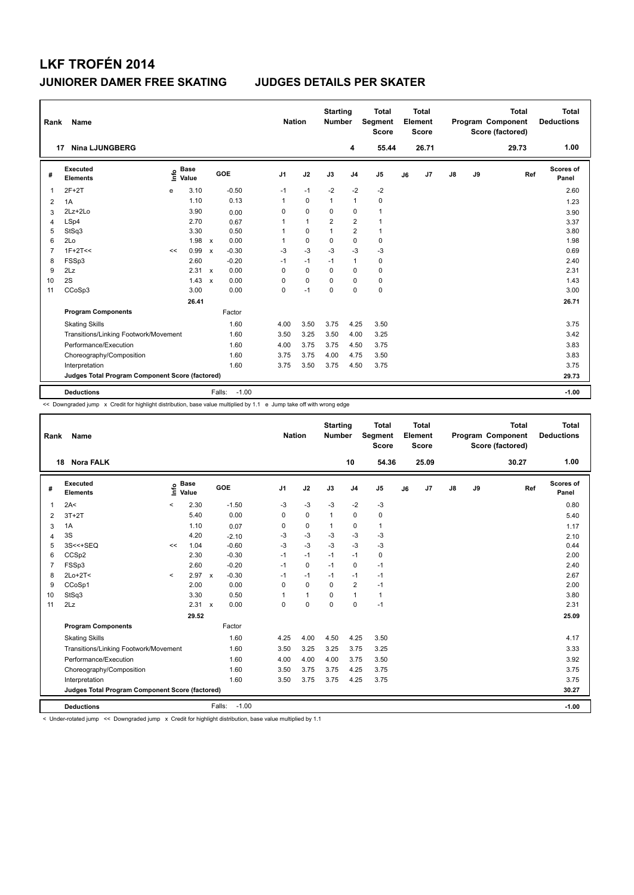| Rank           | Name                                            |    |                      |                           |                   | <b>Nation</b>  |              | <b>Starting</b><br><b>Number</b> |                | Total<br>Segment<br><b>Score</b> |    | <b>Total</b><br>Element<br><b>Score</b> |               |    | <b>Total</b><br>Program Component<br>Score (factored) | Total<br><b>Deductions</b> |
|----------------|-------------------------------------------------|----|----------------------|---------------------------|-------------------|----------------|--------------|----------------------------------|----------------|----------------------------------|----|-----------------------------------------|---------------|----|-------------------------------------------------------|----------------------------|
|                | <b>Nina LJUNGBERG</b><br>17                     |    |                      |                           |                   |                |              |                                  | 4              | 55.44                            |    | 26.71                                   |               |    | 29.73                                                 | 1.00                       |
| #              | Executed<br><b>Elements</b>                     | ۴o | <b>Base</b><br>Value |                           | GOE               | J <sub>1</sub> | J2           | J3                               | J <sub>4</sub> | J <sub>5</sub>                   | J6 | J <sub>7</sub>                          | $\mathsf{J}8$ | J9 | Ref                                                   | Scores of<br>Panel         |
| 1              | $2F+2T$                                         | e  | 3.10                 |                           | $-0.50$           | $-1$           | $-1$         | $-2$                             | $-2$           | $-2$                             |    |                                         |               |    |                                                       | 2.60                       |
| 2              | 1A                                              |    | 1.10                 |                           | 0.13              | 1              | $\mathbf 0$  | $\mathbf{1}$                     | $\mathbf{1}$   | 0                                |    |                                         |               |    |                                                       | 1.23                       |
| 3              | $2Lz+2Lo$                                       |    | 3.90                 |                           | 0.00              | 0              | $\mathbf 0$  | 0                                | $\mathbf 0$    | $\mathbf{1}$                     |    |                                         |               |    |                                                       | 3.90                       |
| 4              | LSp4                                            |    | 2.70                 |                           | 0.67              | 1              | $\mathbf{1}$ | $\overline{2}$                   | $\overline{2}$ | $\mathbf{1}$                     |    |                                         |               |    |                                                       | 3.37                       |
| 5              | StSq3                                           |    | 3.30                 |                           | 0.50              |                | $\mathbf 0$  | 1                                | $\overline{2}$ | $\mathbf{1}$                     |    |                                         |               |    |                                                       | 3.80                       |
| 6              | 2Lo                                             |    | 1.98                 | $\mathsf{x}$              | 0.00              | 1              | $\mathbf 0$  | 0                                | $\pmb{0}$      | 0                                |    |                                         |               |    |                                                       | 1.98                       |
| $\overline{7}$ | $1F+2T<<$                                       | << | 0.99                 | $\boldsymbol{\mathsf{x}}$ | $-0.30$           | -3             | $-3$         | $-3$                             | -3             | $-3$                             |    |                                         |               |    |                                                       | 0.69                       |
| 8              | FSSp3                                           |    | 2.60                 |                           | $-0.20$           | $-1$           | $-1$         | $-1$                             | $\mathbf{1}$   | 0                                |    |                                         |               |    |                                                       | 2.40                       |
| 9              | 2Lz                                             |    | $2.31 \times$        |                           | 0.00              | 0              | $\mathbf 0$  | $\Omega$                         | 0              | 0                                |    |                                         |               |    |                                                       | 2.31                       |
| 10             | 2S                                              |    | 1.43                 | $\boldsymbol{\mathsf{x}}$ | 0.00              | 0              | 0            | $\Omega$                         | 0              | 0                                |    |                                         |               |    |                                                       | 1.43                       |
| 11             | CCoSp3                                          |    | 3.00                 |                           | 0.00              | 0              | $-1$         | $\mathbf 0$                      | $\mathbf 0$    | $\mathbf 0$                      |    |                                         |               |    |                                                       | 3.00                       |
|                |                                                 |    | 26.41                |                           |                   |                |              |                                  |                |                                  |    |                                         |               |    |                                                       | 26.71                      |
|                | <b>Program Components</b>                       |    |                      |                           | Factor            |                |              |                                  |                |                                  |    |                                         |               |    |                                                       |                            |
|                | <b>Skating Skills</b>                           |    |                      |                           | 1.60              | 4.00           | 3.50         | 3.75                             | 4.25           | 3.50                             |    |                                         |               |    |                                                       | 3.75                       |
|                | Transitions/Linking Footwork/Movement           |    |                      |                           | 1.60              | 3.50           | 3.25         | 3.50                             | 4.00           | 3.25                             |    |                                         |               |    |                                                       | 3.42                       |
|                | Performance/Execution                           |    |                      |                           | 1.60              | 4.00           | 3.75         | 3.75                             | 4.50           | 3.75                             |    |                                         |               |    |                                                       | 3.83                       |
|                | Choreography/Composition                        |    |                      |                           | 1.60              | 3.75           | 3.75         | 4.00                             | 4.75           | 3.50                             |    |                                         |               |    |                                                       | 3.83                       |
|                | Interpretation                                  |    |                      |                           | 1.60              | 3.75           | 3.50         | 3.75                             | 4.50           | 3.75                             |    |                                         |               |    |                                                       | 3.75                       |
|                | Judges Total Program Component Score (factored) |    |                      |                           |                   |                |              |                                  |                |                                  |    |                                         |               |    |                                                       | 29.73                      |
|                | <b>Deductions</b>                               |    |                      |                           | $-1.00$<br>Falls: |                |              |                                  |                |                                  |    |                                         |               |    |                                                       | $-1.00$                    |

<< Downgraded jump x Credit for highlight distribution, base value multiplied by 1.1 e Jump take off with wrong edge

| Rank           | Name                                            |         |                      |                           |                   | <b>Nation</b>  |              | <b>Starting</b><br><b>Number</b> |                | <b>Total</b><br>Segment<br><b>Score</b> |    | Total<br>Element<br><b>Score</b> |               |    | <b>Total</b><br>Program Component<br>Score (factored) | Total<br><b>Deductions</b> |
|----------------|-------------------------------------------------|---------|----------------------|---------------------------|-------------------|----------------|--------------|----------------------------------|----------------|-----------------------------------------|----|----------------------------------|---------------|----|-------------------------------------------------------|----------------------------|
|                | <b>Nora FALK</b><br>18                          |         |                      |                           |                   |                |              |                                  | 10             | 54.36                                   |    | 25.09                            |               |    | 30.27                                                 | 1.00                       |
| #              | <b>Executed</b><br><b>Elements</b>              | lnfo    | <b>Base</b><br>Value |                           | <b>GOE</b>        | J <sub>1</sub> | J2           | J3                               | J <sub>4</sub> | J <sub>5</sub>                          | J6 | J <sub>7</sub>                   | $\mathsf{J}8$ | J9 | Ref                                                   | Scores of<br>Panel         |
| 1              | 2A<                                             | $\,<\,$ | 2.30                 |                           | $-1.50$           | $-3$           | $-3$         | $-3$                             | $-2$           | $-3$                                    |    |                                  |               |    |                                                       | 0.80                       |
| 2              | $3T+2T$                                         |         | 5.40                 |                           | 0.00              | $\Omega$       | $\mathbf 0$  | $\mathbf{1}$                     | $\Omega$       | $\pmb{0}$                               |    |                                  |               |    |                                                       | 5.40                       |
| 3              | 1A                                              |         | 1.10                 |                           | 0.07              | 0              | $\mathbf 0$  | $\mathbf{1}$                     | $\mathbf 0$    | $\mathbf{1}$                            |    |                                  |               |    |                                                       | 1.17                       |
| $\overline{4}$ | 3S                                              |         | 4.20                 |                           | $-2.10$           | $-3$           | $-3$         | $-3$                             | $-3$           | $-3$                                    |    |                                  |               |    |                                                       | 2.10                       |
| 5              | 3S<<+SEQ                                        | <<      | 1.04                 |                           | $-0.60$           | $-3$           | $-3$         | $-3$                             | $-3$           | $-3$                                    |    |                                  |               |    |                                                       | 0.44                       |
| 6              | CCSp2                                           |         | 2.30                 |                           | $-0.30$           | $-1$           | $-1$         | $-1$                             | $-1$           | $\pmb{0}$                               |    |                                  |               |    |                                                       | 2.00                       |
| $\overline{7}$ | FSSp3                                           |         | 2.60                 |                           | $-0.20$           | $-1$           | $\mathbf 0$  | $-1$                             | $\mathbf 0$    | $-1$                                    |    |                                  |               |    |                                                       | 2.40                       |
| 8              | $2Lo+2T<$                                       | $\prec$ | 2.97                 | $\mathsf{x}$              | $-0.30$           | $-1$           | $-1$         | $-1$                             | $-1$           | $-1$                                    |    |                                  |               |    |                                                       | 2.67                       |
| 9              | CCoSp1                                          |         | 2.00                 |                           | 0.00              | $\Omega$       | $\Omega$     | $\Omega$                         | $\overline{2}$ | $-1$                                    |    |                                  |               |    |                                                       | 2.00                       |
| 10             | StSq3                                           |         | 3.30                 |                           | 0.50              | 1              | $\mathbf{1}$ | $\Omega$                         | $\mathbf{1}$   | $\mathbf{1}$                            |    |                                  |               |    |                                                       | 3.80                       |
| 11             | 2Lz                                             |         | 2.31                 | $\boldsymbol{\mathsf{x}}$ | 0.00              | 0              | $\mathbf 0$  | $\mathbf 0$                      | $\mathbf 0$    | $-1$                                    |    |                                  |               |    |                                                       | 2.31                       |
|                |                                                 |         | 29.52                |                           |                   |                |              |                                  |                |                                         |    |                                  |               |    |                                                       | 25.09                      |
|                | <b>Program Components</b>                       |         |                      |                           | Factor            |                |              |                                  |                |                                         |    |                                  |               |    |                                                       |                            |
|                | <b>Skating Skills</b>                           |         |                      |                           | 1.60              | 4.25           | 4.00         | 4.50                             | 4.25           | 3.50                                    |    |                                  |               |    |                                                       | 4.17                       |
|                | Transitions/Linking Footwork/Movement           |         |                      |                           | 1.60              | 3.50           | 3.25         | 3.25                             | 3.75           | 3.25                                    |    |                                  |               |    |                                                       | 3.33                       |
|                | Performance/Execution                           |         |                      |                           | 1.60              | 4.00           | 4.00         | 4.00                             | 3.75           | 3.50                                    |    |                                  |               |    |                                                       | 3.92                       |
|                | Choreography/Composition                        |         |                      |                           | 1.60              | 3.50           | 3.75         | 3.75                             | 4.25           | 3.75                                    |    |                                  |               |    |                                                       | 3.75                       |
|                | Interpretation                                  |         |                      |                           | 1.60              | 3.50           | 3.75         | 3.75                             | 4.25           | 3.75                                    |    |                                  |               |    |                                                       | 3.75                       |
|                | Judges Total Program Component Score (factored) |         |                      |                           |                   |                |              |                                  |                |                                         |    |                                  |               |    |                                                       | 30.27                      |
|                | <b>Deductions</b>                               |         |                      |                           | $-1.00$<br>Falls: |                |              |                                  |                |                                         |    |                                  |               |    |                                                       | $-1.00$                    |

< Under-rotated jump << Downgraded jump x Credit for highlight distribution, base value multiplied by 1.1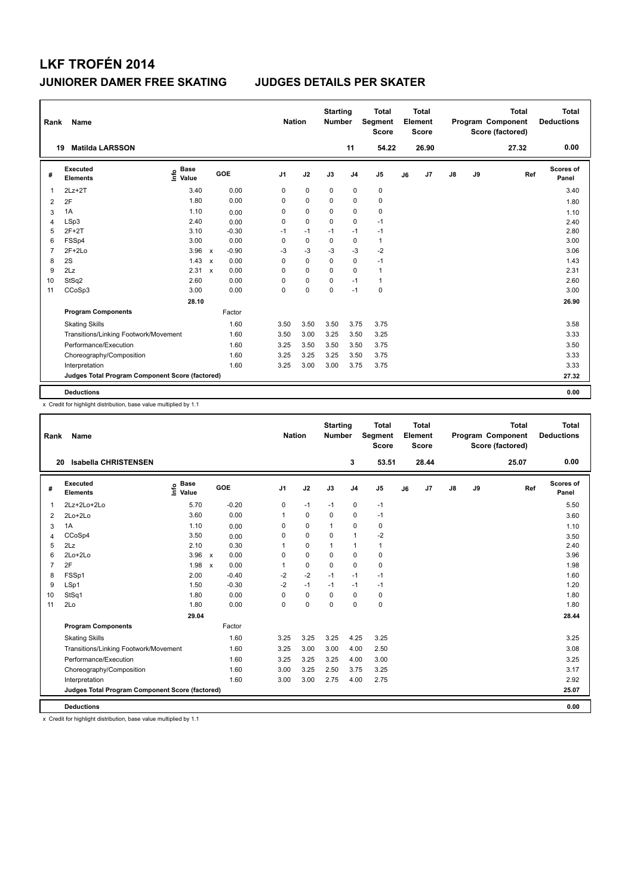| Rank           | Name                                            |                              |              |         | <b>Nation</b>  |             | <b>Starting</b><br><b>Number</b> |                | <b>Total</b><br>Segment<br><b>Score</b> |    | <b>Total</b><br>Element<br><b>Score</b> |               |    | <b>Total</b><br>Program Component<br>Score (factored) | <b>Total</b><br><b>Deductions</b> |
|----------------|-------------------------------------------------|------------------------------|--------------|---------|----------------|-------------|----------------------------------|----------------|-----------------------------------------|----|-----------------------------------------|---------------|----|-------------------------------------------------------|-----------------------------------|
|                | <b>Matilda LARSSON</b><br>19                    |                              |              |         |                |             |                                  | 11             | 54.22                                   |    | 26.90                                   |               |    | 27.32                                                 | 0.00                              |
| #              | <b>Executed</b><br><b>Elements</b>              | <b>Base</b><br>١nfo<br>Value |              | GOE     | J <sub>1</sub> | J2          | J3                               | J <sub>4</sub> | J <sub>5</sub>                          | J6 | J7                                      | $\mathsf{J}8$ | J9 | Ref                                                   | <b>Scores of</b><br>Panel         |
| 1              | $2Lz+2T$                                        | 3.40                         |              | 0.00    | 0              | $\mathbf 0$ | $\mathbf 0$                      | $\pmb{0}$      | $\pmb{0}$                               |    |                                         |               |    |                                                       | 3.40                              |
| 2              | 2F                                              | 1.80                         |              | 0.00    | 0              | 0           | 0                                | 0              | 0                                       |    |                                         |               |    |                                                       | 1.80                              |
| 3              | 1A                                              | 1.10                         |              | 0.00    | 0              | $\mathbf 0$ | 0                                | $\mathbf 0$    | $\mathbf 0$                             |    |                                         |               |    |                                                       | 1.10                              |
| 4              | LSp3                                            | 2.40                         |              | 0.00    | 0              | $\Omega$    | $\Omega$                         | 0              | $-1$                                    |    |                                         |               |    |                                                       | 2.40                              |
| 5              | $2F+2T$                                         | 3.10                         |              | $-0.30$ | $-1$           | $-1$        | $-1$                             | $-1$           | $-1$                                    |    |                                         |               |    |                                                       | 2.80                              |
| 6              | FSSp4                                           | 3.00                         |              | 0.00    | 0              | $\mathbf 0$ | 0                                | $\pmb{0}$      | $\mathbf{1}$                            |    |                                         |               |    |                                                       | 3.00                              |
| $\overline{7}$ | $2F+2Lo$                                        | 3.96                         | $\mathsf{x}$ | $-0.90$ | -3             | $-3$        | $-3$                             | $-3$           | $-2$                                    |    |                                         |               |    |                                                       | 3.06                              |
| 8              | 2S                                              | 1.43                         | $\mathsf{x}$ | 0.00    | 0              | 0           | 0                                | 0              | $-1$                                    |    |                                         |               |    |                                                       | 1.43                              |
| 9              | 2Lz                                             | 2.31 x                       |              | 0.00    | 0              | 0           | 0                                | 0              | $\mathbf{1}$                            |    |                                         |               |    |                                                       | 2.31                              |
| 10             | StSq2                                           | 2.60                         |              | 0.00    | 0              | $\mathbf 0$ | 0                                | $-1$           | $\mathbf{1}$                            |    |                                         |               |    |                                                       | 2.60                              |
| 11             | CCoSp3                                          | 3.00                         |              | 0.00    | 0              | 0           | 0                                | $-1$           | $\pmb{0}$                               |    |                                         |               |    |                                                       | 3.00                              |
|                |                                                 | 28.10                        |              |         |                |             |                                  |                |                                         |    |                                         |               |    |                                                       | 26.90                             |
|                | <b>Program Components</b>                       |                              |              | Factor  |                |             |                                  |                |                                         |    |                                         |               |    |                                                       |                                   |
|                | <b>Skating Skills</b>                           |                              |              | 1.60    | 3.50           | 3.50        | 3.50                             | 3.75           | 3.75                                    |    |                                         |               |    |                                                       | 3.58                              |
|                | Transitions/Linking Footwork/Movement           |                              |              | 1.60    | 3.50           | 3.00        | 3.25                             | 3.50           | 3.25                                    |    |                                         |               |    |                                                       | 3.33                              |
|                | Performance/Execution                           |                              |              | 1.60    | 3.25           | 3.50        | 3.50                             | 3.50           | 3.75                                    |    |                                         |               |    |                                                       | 3.50                              |
|                | Choreography/Composition                        |                              |              | 1.60    | 3.25           | 3.25        | 3.25                             | 3.50           | 3.75                                    |    |                                         |               |    |                                                       | 3.33                              |
|                | Interpretation                                  |                              |              | 1.60    | 3.25           | 3.00        | 3.00                             | 3.75           | 3.75                                    |    |                                         |               |    |                                                       | 3.33                              |
|                | Judges Total Program Component Score (factored) |                              |              |         |                |             |                                  |                |                                         |    |                                         |               |    |                                                       | 27.32                             |
|                | <b>Deductions</b>                               |                              |              |         |                |             |                                  |                |                                         |    |                                         |               |    |                                                       | 0.00                              |

x Credit for highlight distribution, base value multiplied by 1.1

| Name                        |             |                                                            |                                                                            |             |               |                | <b>Total</b><br><b>Score</b>     |                                                 | <b>Total</b> |                         |    | <b>Total</b> | <b>Total</b><br><b>Deductions</b>            |
|-----------------------------|-------------|------------------------------------------------------------|----------------------------------------------------------------------------|-------------|---------------|----------------|----------------------------------|-------------------------------------------------|--------------|-------------------------|----|--------------|----------------------------------------------|
| <b>Isabella CHRISTENSEN</b> |             |                                                            |                                                                            |             |               | 3              | 53.51                            |                                                 | 28.44        |                         |    | 25.07        | 0.00                                         |
| Executed<br><b>Elements</b> | <b>Base</b> | <b>GOE</b>                                                 | J <sub>1</sub>                                                             | J2          | J3            | J <sub>4</sub> | J5                               | J6                                              | J7           | $\mathsf{J}8$           | J9 |              | Scores of<br>Panel                           |
| $2Lz+2Lo+2Lo$               | 5.70        | $-0.20$                                                    | 0                                                                          | $-1$        | $-1$          | $\pmb{0}$      | $-1$                             |                                                 |              |                         |    |              | 5.50                                         |
| 2Lo+2Lo                     | 3.60        | 0.00                                                       | 1                                                                          | $\mathbf 0$ | $\mathbf 0$   | $\mathbf 0$    | $-1$                             |                                                 |              |                         |    |              | 3.60                                         |
| 1A                          | 1.10        | 0.00                                                       | $\Omega$                                                                   | $\mathbf 0$ | 1             | $\mathbf 0$    | 0                                |                                                 |              |                         |    |              | 1.10                                         |
| CCoSp4                      | 3.50        | 0.00                                                       | 0                                                                          | $\mathbf 0$ | 0             | $\overline{1}$ | $-2$                             |                                                 |              |                         |    |              | 3.50                                         |
| 2Lz                         | 2.10        | 0.30                                                       | 1                                                                          | $\mathbf 0$ | 1             | $\mathbf{1}$   | $\mathbf{1}$                     |                                                 |              |                         |    |              | 2.40                                         |
| $2Lo+2Lo$                   |             | 0.00                                                       | 0                                                                          | $\mathbf 0$ | 0             | $\mathbf 0$    | 0                                |                                                 |              |                         |    |              | 3.96                                         |
| 2F                          |             | 0.00                                                       | 1                                                                          | $\Omega$    | 0             | $\Omega$       | 0                                |                                                 |              |                         |    |              | 1.98                                         |
| FSSp1                       | 2.00        | $-0.40$                                                    | $-2$                                                                       | $-2$        | $-1$          | $-1$           | $-1$                             |                                                 |              |                         |    |              | 1.60                                         |
| LSp1                        | 1.50        | $-0.30$                                                    | $-2$                                                                       | $-1$        | $-1$          | $-1$           | $-1$                             |                                                 |              |                         |    |              | 1.20                                         |
| StSq1                       | 1.80        | 0.00                                                       | $\Omega$                                                                   | $\mathbf 0$ | $\Omega$      | $\Omega$       | 0                                |                                                 |              |                         |    |              | 1.80                                         |
| 2Lo                         | 1.80        | 0.00                                                       | $\Omega$                                                                   | $\mathbf 0$ | $\Omega$      | $\Omega$       | 0                                |                                                 |              |                         |    |              | 1.80                                         |
|                             | 29.04       |                                                            |                                                                            |             |               |                |                                  |                                                 |              |                         |    |              | 28.44                                        |
| <b>Program Components</b>   |             | Factor                                                     |                                                                            |             |               |                |                                  |                                                 |              |                         |    |              |                                              |
| <b>Skating Skills</b>       |             | 1.60                                                       | 3.25                                                                       | 3.25        | 3.25          |                | 3.25                             |                                                 |              |                         |    |              | 3.25                                         |
|                             |             | 1.60                                                       | 3.25                                                                       | 3.00        | 3.00          |                | 2.50                             |                                                 |              |                         |    |              | 3.08                                         |
| Performance/Execution       |             | 1.60                                                       | 3.25                                                                       | 3.25        | 3.25          |                | 3.00                             |                                                 |              |                         |    |              | 3.25                                         |
| Choreography/Composition    |             | 1.60                                                       | 3.00                                                                       | 3.25        | 2.50          |                | 3.25                             |                                                 |              |                         |    |              | 3.17                                         |
| Interpretation              |             | 1.60                                                       | 3.00                                                                       | 3.00        | 2.75          |                | 2.75                             |                                                 |              |                         |    |              | 2.92                                         |
|                             |             |                                                            |                                                                            |             |               |                |                                  |                                                 |              |                         |    |              | 25.07                                        |
| <b>Deductions</b>           |             |                                                            |                                                                            |             |               |                |                                  |                                                 |              |                         |    |              | 0.00                                         |
|                             | Rank<br>20  | e Base<br>E Value<br>Transitions/Linking Footwork/Movement | $3.96 \times$<br>1.98 x<br>Judges Total Program Component Score (factored) |             | <b>Nation</b> |                | <b>Starting</b><br><b>Number</b> | Segment<br>4.25<br>4.00<br>4.00<br>3.75<br>4.00 |              | Element<br><b>Score</b> |    |              | Program Component<br>Score (factored)<br>Ref |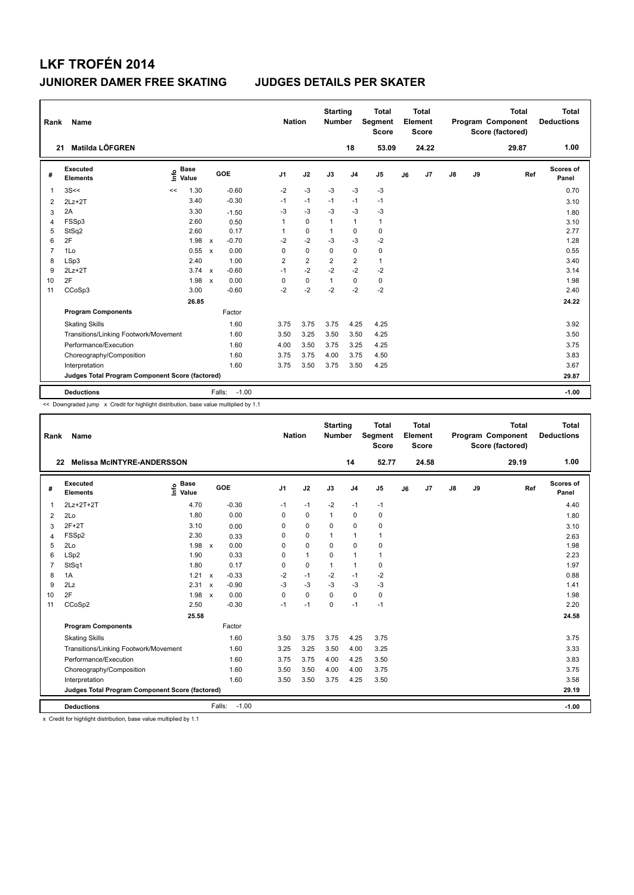| Rank           | Name                                            |                            |                         | <b>Nation</b>  |                | <b>Starting</b><br><b>Number</b> |                | <b>Total</b><br>Segment<br><b>Score</b> |    | Total<br>Element<br><b>Score</b> |               |    | <b>Total</b><br>Program Component<br>Score (factored) | Total<br><b>Deductions</b> |
|----------------|-------------------------------------------------|----------------------------|-------------------------|----------------|----------------|----------------------------------|----------------|-----------------------------------------|----|----------------------------------|---------------|----|-------------------------------------------------------|----------------------------|
| 21             | Matilda LÖFGREN                                 |                            |                         |                |                |                                  | 18             | 53.09                                   |    | 24.22                            |               |    | 29.87                                                 | 1.00                       |
| #              | Executed<br><b>Elements</b>                     | <b>Base</b><br>۴٥<br>Value | GOE                     | J <sub>1</sub> | J2             | J3                               | J <sub>4</sub> | J <sub>5</sub>                          | J6 | J7                               | $\mathsf{J}8$ | J9 | Ref                                                   | Scores of<br>Panel         |
| 1              | 3S<<                                            | 1.30<br><<                 | $-0.60$                 | $-2$           | $-3$           | $-3$                             | $-3$           | $-3$                                    |    |                                  |               |    |                                                       | 0.70                       |
| 2              | $2Lz+2T$                                        | 3.40                       | $-0.30$                 | $-1$           | $-1$           | $-1$                             | $-1$           | $-1$                                    |    |                                  |               |    |                                                       | 3.10                       |
| 3              | 2A                                              | 3.30                       | $-1.50$                 | $-3$           | $-3$           | $-3$                             | $-3$           | $-3$                                    |    |                                  |               |    |                                                       | 1.80                       |
| $\overline{4}$ | FSSp3                                           | 2.60                       | 0.50                    | 1              | $\Omega$       | 1                                | $\mathbf{1}$   | $\mathbf{1}$                            |    |                                  |               |    |                                                       | 3.10                       |
| 5              | StSq2                                           | 2.60                       | 0.17                    | $\mathbf{1}$   | 0              | 1                                | 0              | 0                                       |    |                                  |               |    |                                                       | 2.77                       |
| 6              | 2F                                              | 1.98                       | $-0.70$<br>$\mathsf{x}$ | $-2$           | $-2$           | $-3$                             | $-3$           | $-2$                                    |    |                                  |               |    |                                                       | 1.28                       |
| $\overline{7}$ | 1Lo                                             | 0.55                       | 0.00<br>$\mathsf{x}$    | 0              | $\Omega$       | $\Omega$                         | 0              | 0                                       |    |                                  |               |    |                                                       | 0.55                       |
| 8              | LSp3                                            | 2.40                       | 1.00                    | $\overline{2}$ | $\overline{2}$ | $\overline{2}$                   | $\overline{2}$ | $\mathbf{1}$                            |    |                                  |               |    |                                                       | 3.40                       |
| 9              | $2Lz+2T$                                        | 3.74                       | $-0.60$<br>$\mathsf{x}$ | $-1$           | $-2$           | $-2$                             | $-2$           | $-2$                                    |    |                                  |               |    |                                                       | 3.14                       |
| 10             | 2F                                              | 1.98                       | 0.00<br>$\mathsf{x}$    | 0              | $\mathbf 0$    | $\mathbf{1}$                     | 0              | $\mathbf 0$                             |    |                                  |               |    |                                                       | 1.98                       |
| 11             | CCoSp3                                          | 3.00                       | $-0.60$                 | $-2$           | $-2$           | $-2$                             | $-2$           | $-2$                                    |    |                                  |               |    |                                                       | 2.40                       |
|                |                                                 | 26.85                      |                         |                |                |                                  |                |                                         |    |                                  |               |    |                                                       | 24.22                      |
|                | <b>Program Components</b>                       |                            | Factor                  |                |                |                                  |                |                                         |    |                                  |               |    |                                                       |                            |
|                | <b>Skating Skills</b>                           |                            | 1.60                    | 3.75           | 3.75           | 3.75                             | 4.25           | 4.25                                    |    |                                  |               |    |                                                       | 3.92                       |
|                | Transitions/Linking Footwork/Movement           |                            | 1.60                    | 3.50           | 3.25           | 3.50                             | 3.50           | 4.25                                    |    |                                  |               |    |                                                       | 3.50                       |
|                | Performance/Execution                           |                            | 1.60                    | 4.00           | 3.50           | 3.75                             | 3.25           | 4.25                                    |    |                                  |               |    |                                                       | 3.75                       |
|                | Choreography/Composition                        |                            | 1.60                    | 3.75           | 3.75           | 4.00                             | 3.75           | 4.50                                    |    |                                  |               |    |                                                       | 3.83                       |
|                | Interpretation                                  |                            | 1.60                    | 3.75           | 3.50           | 3.75                             | 3.50           | 4.25                                    |    |                                  |               |    |                                                       | 3.67                       |
|                | Judges Total Program Component Score (factored) |                            |                         |                |                |                                  |                |                                         |    |                                  |               |    |                                                       | 29.87                      |
|                | <b>Deductions</b>                               |                            | $-1.00$<br>Falls:       |                |                |                                  |                |                                         |    |                                  |               |    |                                                       | $-1.00$                    |

<< Downgraded jump x Credit for highlight distribution, base value multiplied by 1.1

| Rank           | <b>Name</b>                                     |                                  |              |         | <b>Nation</b>  |              | <b>Starting</b><br><b>Number</b> |                | <b>Total</b><br>Segment<br><b>Score</b> |    | <b>Total</b><br>Element<br><b>Score</b> |               |    | <b>Total</b><br>Program Component<br>Score (factored) |     | <b>Total</b><br><b>Deductions</b> |
|----------------|-------------------------------------------------|----------------------------------|--------------|---------|----------------|--------------|----------------------------------|----------------|-----------------------------------------|----|-----------------------------------------|---------------|----|-------------------------------------------------------|-----|-----------------------------------|
| 22             | <b>Melissa McINTYRE-ANDERSSON</b>               |                                  |              |         |                |              |                                  | 14             | 52.77                                   |    | 24.58                                   |               |    | 29.19                                                 |     | 1.00                              |
| #              | Executed<br><b>Elements</b>                     | <b>Base</b><br>e Base<br>E Value | GOE          |         | J <sub>1</sub> | J2           | J3                               | J <sub>4</sub> | J5                                      | J6 | J7                                      | $\mathsf{J}8$ | J9 |                                                       | Ref | Scores of<br>Panel                |
| $\mathbf{1}$   | 2Lz+2T+2T                                       | 4.70                             |              | $-0.30$ | $-1$           | $-1$         | $-2$                             | $-1$           | $-1$                                    |    |                                         |               |    |                                                       |     | 4.40                              |
| 2              | 2Lo                                             | 1.80                             |              | 0.00    | 0              | $\mathbf 0$  | $\mathbf{1}$                     | $\mathbf 0$    | 0                                       |    |                                         |               |    |                                                       |     | 1.80                              |
| 3              | $2F+2T$                                         | 3.10                             |              | 0.00    | 0              | 0            | 0                                | 0              | 0                                       |    |                                         |               |    |                                                       |     | 3.10                              |
| $\overline{4}$ | FSSp2                                           | 2.30                             |              | 0.33    | 0              | 0            | $\mathbf{1}$                     | 1              | 1                                       |    |                                         |               |    |                                                       |     | 2.63                              |
| 5              | 2Lo                                             | 1.98                             | $\mathsf{x}$ | 0.00    | $\Omega$       | $\mathbf 0$  | $\Omega$                         | $\mathbf 0$    | 0                                       |    |                                         |               |    |                                                       |     | 1.98                              |
| 6              | LSp2                                            | 1.90                             |              | 0.33    | 0              | $\mathbf{1}$ | 0                                | 1              | 1                                       |    |                                         |               |    |                                                       |     | 2.23                              |
| $\overline{7}$ | StSq1                                           | 1.80                             |              | 0.17    | 0              | $\mathbf 0$  | $\mathbf{1}$                     | $\mathbf{1}$   | 0                                       |    |                                         |               |    |                                                       |     | 1.97                              |
| 8              | 1A                                              | 1.21                             | $\mathsf{x}$ | $-0.33$ | -2             | $-1$         | $-2$                             | $-1$           | $-2$                                    |    |                                         |               |    |                                                       |     | 0.88                              |
| 9              | 2Lz                                             | 2.31                             | $\mathsf{x}$ | $-0.90$ | $-3$           | $-3$         | $-3$                             | $-3$           | $-3$                                    |    |                                         |               |    |                                                       |     | 1.41                              |
| 10             | 2F                                              | 1.98 x                           |              | 0.00    | 0              | $\mathbf 0$  | $\mathbf 0$                      | $\mathbf 0$    | 0                                       |    |                                         |               |    |                                                       |     | 1.98                              |
| 11             | CCoSp2                                          | 2.50                             |              | $-0.30$ | $-1$           | $-1$         | $\Omega$                         | $-1$           | $-1$                                    |    |                                         |               |    |                                                       |     | 2.20                              |
|                |                                                 | 25.58                            |              |         |                |              |                                  |                |                                         |    |                                         |               |    |                                                       |     | 24.58                             |
|                | <b>Program Components</b>                       |                                  |              | Factor  |                |              |                                  |                |                                         |    |                                         |               |    |                                                       |     |                                   |
|                | <b>Skating Skills</b>                           |                                  |              | 1.60    | 3.50           | 3.75         | 3.75                             | 4.25           | 3.75                                    |    |                                         |               |    |                                                       |     | 3.75                              |
|                | Transitions/Linking Footwork/Movement           |                                  |              | 1.60    | 3.25           | 3.25         | 3.50                             | 4.00           | 3.25                                    |    |                                         |               |    |                                                       |     | 3.33                              |
|                | Performance/Execution                           |                                  |              | 1.60    | 3.75           | 3.75         | 4.00                             | 4.25           | 3.50                                    |    |                                         |               |    |                                                       |     | 3.83                              |
|                | Choreography/Composition                        |                                  |              | 1.60    | 3.50           | 3.50         | 4.00                             | 4.00           | 3.75                                    |    |                                         |               |    |                                                       |     | 3.75                              |
|                | Interpretation                                  |                                  |              | 1.60    | 3.50           | 3.50         | 3.75                             | 4.25           | 3.50                                    |    |                                         |               |    |                                                       |     | 3.58                              |
|                | Judges Total Program Component Score (factored) |                                  |              |         |                |              |                                  |                |                                         |    |                                         |               |    |                                                       |     | 29.19                             |
|                | <b>Deductions</b>                               |                                  | Falls:       | $-1.00$ |                |              |                                  |                |                                         |    |                                         |               |    |                                                       |     | $-1.00$                           |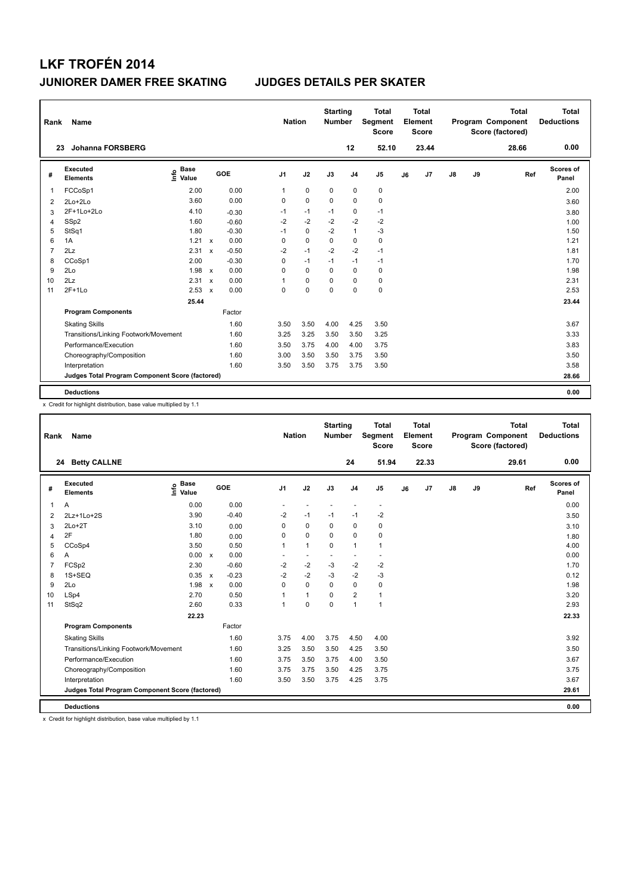| Rank | Name                                            |                              |                           |         |                | <b>Nation</b> |             | <b>Starting</b><br><b>Number</b> |                | <b>Total</b><br>Segment<br><b>Score</b> |    | <b>Total</b><br>Element<br><b>Score</b> |               |    | <b>Total</b><br>Program Component<br>Score (factored) | <b>Total</b><br><b>Deductions</b> |
|------|-------------------------------------------------|------------------------------|---------------------------|---------|----------------|---------------|-------------|----------------------------------|----------------|-----------------------------------------|----|-----------------------------------------|---------------|----|-------------------------------------------------------|-----------------------------------|
| 23   | <b>Johanna FORSBERG</b>                         |                              |                           |         |                |               |             |                                  | 12             | 52.10                                   |    | 23.44                                   |               |    | 28.66                                                 | 0.00                              |
| #    | <b>Executed</b><br><b>Elements</b>              | <b>Base</b><br>١nfo<br>Value |                           | GOE     | J <sub>1</sub> |               | J2          | J3                               | J <sub>4</sub> | J <sub>5</sub>                          | J6 | J <sub>7</sub>                          | $\mathsf{J}8$ | J9 | Ref                                                   | Scores of<br>Panel                |
| 1    | FCCoSp1                                         | 2.00                         |                           | 0.00    | 1              |               | $\mathbf 0$ | $\mathbf 0$                      | $\mathbf 0$    | $\pmb{0}$                               |    |                                         |               |    |                                                       | 2.00                              |
| 2    | 2Lo+2Lo                                         | 3.60                         |                           | 0.00    |                | 0             | $\mathbf 0$ | $\Omega$                         | 0              | 0                                       |    |                                         |               |    |                                                       | 3.60                              |
| 3    | 2F+1Lo+2Lo                                      | 4.10                         |                           | $-0.30$ |                | $-1$          | $-1$        | $-1$                             | $\mathbf 0$    | $-1$                                    |    |                                         |               |    |                                                       | 3.80                              |
| 4    | SSp2                                            | 1.60                         |                           | $-0.60$ |                | $-2$          | $-2$        | $-2$                             | $-2$           | -2                                      |    |                                         |               |    |                                                       | 1.00                              |
| 5    | StSq1                                           | 1.80                         |                           | $-0.30$ |                | $-1$          | $\mathbf 0$ | $-2$                             | $\mathbf{1}$   | $-3$                                    |    |                                         |               |    |                                                       | 1.50                              |
| 6    | 1A                                              | 1.21                         | $\boldsymbol{\mathsf{x}}$ | 0.00    |                | $\Omega$      | $\mathbf 0$ | $\Omega$                         | $\pmb{0}$      | 0                                       |    |                                         |               |    |                                                       | 1.21                              |
| 7    | 2Lz                                             | 2.31                         | $\boldsymbol{\mathsf{x}}$ | $-0.50$ |                | $-2$          | $-1$        | $-2$                             | $-2$           | $-1$                                    |    |                                         |               |    |                                                       | 1.81                              |
| 8    | CCoSp1                                          | 2.00                         |                           | $-0.30$ |                | $\Omega$      | $-1$        | $-1$                             | $-1$           | $-1$                                    |    |                                         |               |    |                                                       | 1.70                              |
| 9    | 2Lo                                             | 1.98                         | $\mathsf{x}$              | 0.00    |                | 0             | 0           | $\Omega$                         | 0              | 0                                       |    |                                         |               |    |                                                       | 1.98                              |
| 10   | 2Lz                                             | 2.31                         | $\boldsymbol{\mathsf{x}}$ | 0.00    | 1              |               | $\mathbf 0$ | $\Omega$                         | 0              | 0                                       |    |                                         |               |    |                                                       | 2.31                              |
| 11   | $2F+1Lo$                                        | 2.53                         | $\boldsymbol{\mathsf{x}}$ | 0.00    |                | $\Omega$      | $\mathbf 0$ | $\Omega$                         | $\mathbf 0$    | $\mathbf 0$                             |    |                                         |               |    |                                                       | 2.53                              |
|      |                                                 | 25.44                        |                           |         |                |               |             |                                  |                |                                         |    |                                         |               |    |                                                       | 23.44                             |
|      | <b>Program Components</b>                       |                              |                           | Factor  |                |               |             |                                  |                |                                         |    |                                         |               |    |                                                       |                                   |
|      | <b>Skating Skills</b>                           |                              |                           | 1.60    |                | 3.50          | 3.50        | 4.00                             | 4.25           | 3.50                                    |    |                                         |               |    |                                                       | 3.67                              |
|      | Transitions/Linking Footwork/Movement           |                              |                           | 1.60    |                | 3.25          | 3.25        | 3.50                             | 3.50           | 3.25                                    |    |                                         |               |    |                                                       | 3.33                              |
|      | Performance/Execution                           |                              |                           | 1.60    |                | 3.50          | 3.75        | 4.00                             | 4.00           | 3.75                                    |    |                                         |               |    |                                                       | 3.83                              |
|      | Choreography/Composition                        |                              |                           | 1.60    |                | 3.00          | 3.50        | 3.50                             | 3.75           | 3.50                                    |    |                                         |               |    |                                                       | 3.50                              |
|      | Interpretation                                  |                              |                           | 1.60    |                | 3.50          | 3.50        | 3.75                             | 3.75           | 3.50                                    |    |                                         |               |    |                                                       | 3.58                              |
|      | Judges Total Program Component Score (factored) |                              |                           |         |                |               |             |                                  |                |                                         |    |                                         |               |    |                                                       | 28.66                             |
|      | <b>Deductions</b>                               |                              |                           |         |                |               |             |                                  |                |                                         |    |                                         |               |    |                                                       | 0.00                              |

x Credit for highlight distribution, base value multiplied by 1.1

| Rank           | Name                                            |                                  |                                      |                | <b>Nation</b>            | <b>Starting</b><br><b>Number</b> |                          | <b>Total</b><br>Segment<br><b>Score</b> |    | <b>Total</b><br>Element<br><b>Score</b> |               |    | <b>Total</b><br>Program Component<br>Score (factored) | <b>Total</b><br><b>Deductions</b> |
|----------------|-------------------------------------------------|----------------------------------|--------------------------------------|----------------|--------------------------|----------------------------------|--------------------------|-----------------------------------------|----|-----------------------------------------|---------------|----|-------------------------------------------------------|-----------------------------------|
|                | 24 Betty CALLNE                                 |                                  |                                      |                |                          |                                  | 24                       | 51.94                                   |    | 22.33                                   |               |    | 29.61                                                 | 0.00                              |
| #              | Executed<br><b>Elements</b>                     | <b>Base</b><br>e Base<br>E Value | <b>GOE</b>                           | J <sub>1</sub> | J2                       | J3                               | J <sub>4</sub>           | J5                                      | J6 | J7                                      | $\mathsf{J}8$ | J9 | Ref                                                   | Scores of<br>Panel                |
| 1              | Α                                               | 0.00                             | 0.00                                 |                |                          |                                  |                          |                                         |    |                                         |               |    |                                                       | 0.00                              |
| 2              | 2Lz+1Lo+2S                                      | 3.90                             | $-0.40$                              | $-2$           | $-1$                     | $-1$                             | $-1$                     | $-2$                                    |    |                                         |               |    |                                                       | 3.50                              |
| 3              | $2Lo+2T$                                        | 3.10                             | 0.00                                 | 0              | $\mathbf 0$              | 0                                | $\mathbf 0$              | 0                                       |    |                                         |               |    |                                                       | 3.10                              |
| 4              | 2F                                              | 1.80                             | 0.00                                 | 0              | 0                        | 0                                | $\mathbf 0$              | 0                                       |    |                                         |               |    |                                                       | 1.80                              |
| 5              | CCoSp4                                          | 3.50                             | 0.50                                 | 1              | $\mathbf{1}$             | $\Omega$                         | $\mathbf{1}$             | 1                                       |    |                                         |               |    |                                                       | 4.00                              |
| 6              | Α                                               | 0.00 x                           | 0.00                                 |                | $\overline{\phantom{a}}$ |                                  | $\overline{\phantom{a}}$ |                                         |    |                                         |               |    |                                                       | 0.00                              |
| $\overline{7}$ | FCSp2                                           | 2.30                             | $-0.60$                              | $-2$           | $-2$                     | $-3$                             | $-2$                     | $-2$                                    |    |                                         |               |    |                                                       | 1.70                              |
| 8              | 1S+SEQ                                          | 0.35                             | $-0.23$<br>$\boldsymbol{\mathsf{x}}$ | $-2$           | $-2$                     | $-3$                             | $-2$                     | $-3$                                    |    |                                         |               |    |                                                       | 0.12                              |
| 9              | 2Lo                                             | 1.98                             | 0.00<br>$\boldsymbol{\mathsf{x}}$    | $\Omega$       | $\mathbf 0$              | $\Omega$                         | $\mathbf 0$              | 0                                       |    |                                         |               |    |                                                       | 1.98                              |
| 10             | LSp4                                            | 2.70                             | 0.50                                 |                | $\mathbf{1}$             | 0                                | $\overline{2}$           | $\mathbf{1}$                            |    |                                         |               |    |                                                       | 3.20                              |
| 11             | StSq2                                           | 2.60                             | 0.33                                 | 1              | $\mathbf 0$              | $\Omega$                         | $\mathbf{1}$             | $\mathbf{1}$                            |    |                                         |               |    |                                                       | 2.93                              |
|                |                                                 | 22.23                            |                                      |                |                          |                                  |                          |                                         |    |                                         |               |    |                                                       | 22.33                             |
|                | <b>Program Components</b>                       |                                  | Factor                               |                |                          |                                  |                          |                                         |    |                                         |               |    |                                                       |                                   |
|                | <b>Skating Skills</b>                           |                                  | 1.60                                 | 3.75           | 4.00                     | 3.75                             | 4.50                     | 4.00                                    |    |                                         |               |    |                                                       | 3.92                              |
|                | Transitions/Linking Footwork/Movement           |                                  | 1.60                                 | 3.25           | 3.50                     | 3.50                             | 4.25                     | 3.50                                    |    |                                         |               |    |                                                       | 3.50                              |
|                | Performance/Execution                           |                                  | 1.60                                 | 3.75           | 3.50                     | 3.75                             | 4.00                     | 3.50                                    |    |                                         |               |    |                                                       | 3.67                              |
|                | Choreography/Composition                        |                                  | 1.60                                 | 3.75           | 3.75                     | 3.50                             | 4.25                     | 3.75                                    |    |                                         |               |    |                                                       | 3.75                              |
|                | Interpretation                                  |                                  | 1.60                                 | 3.50           | 3.50                     | 3.75                             | 4.25                     | 3.75                                    |    |                                         |               |    |                                                       | 3.67                              |
|                | Judges Total Program Component Score (factored) |                                  |                                      |                |                          |                                  |                          |                                         |    |                                         |               |    |                                                       | 29.61                             |
|                | <b>Deductions</b>                               |                                  |                                      |                |                          |                                  |                          |                                         |    |                                         |               |    |                                                       | 0.00                              |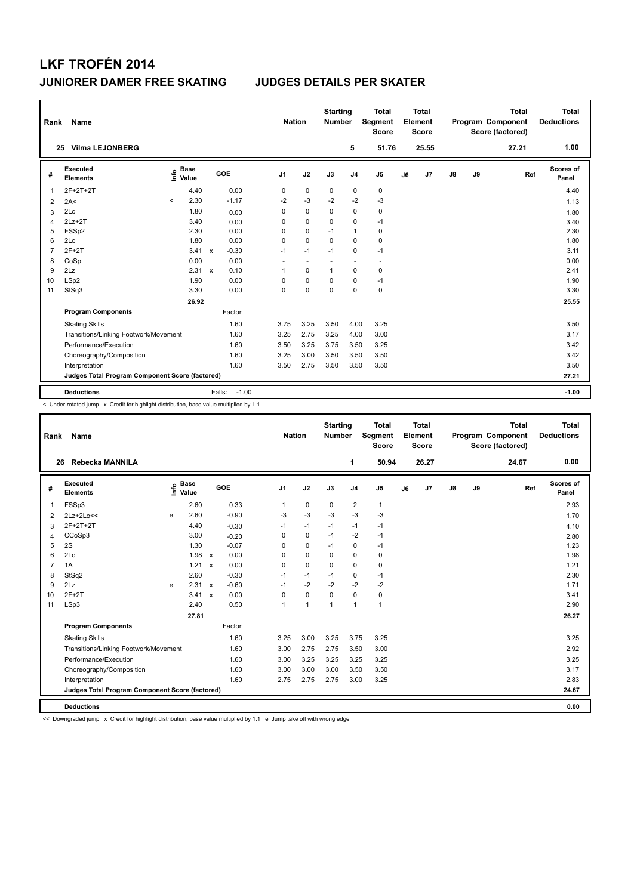| Rank           | Name                                            |         |                      |              |                   | <b>Nation</b>  |                          | <b>Starting</b><br><b>Number</b> |                | <b>Total</b><br>Segment<br><b>Score</b> |    | Total<br>Element<br><b>Score</b> |               |    | <b>Total</b><br>Program Component<br>Score (factored) | Total<br><b>Deductions</b> |
|----------------|-------------------------------------------------|---------|----------------------|--------------|-------------------|----------------|--------------------------|----------------------------------|----------------|-----------------------------------------|----|----------------------------------|---------------|----|-------------------------------------------------------|----------------------------|
| 25             | <b>Vilma LEJONBERG</b>                          |         |                      |              |                   |                |                          |                                  | 5              | 51.76                                   |    | 25.55                            |               |    | 27.21                                                 | 1.00                       |
| #              | Executed<br><b>Elements</b>                     | ۴٥      | <b>Base</b><br>Value |              | GOE               | J <sub>1</sub> | J2                       | J3                               | J <sub>4</sub> | J <sub>5</sub>                          | J6 | J7                               | $\mathsf{J}8$ | J9 | Ref                                                   | Scores of<br>Panel         |
| 1              | 2F+2T+2T                                        |         | 4.40                 |              | 0.00              | 0              | $\pmb{0}$                | 0                                | 0              | 0                                       |    |                                  |               |    |                                                       | 4.40                       |
| 2              | 2A<                                             | $\prec$ | 2.30                 |              | $-1.17$           | $-2$           | $-3$                     | $-2$                             | $-2$           | $-3$                                    |    |                                  |               |    |                                                       | 1.13                       |
| 3              | 2Lo                                             |         | 1.80                 |              | 0.00              | $\Omega$       | $\mathbf 0$              | $\Omega$                         | 0              | 0                                       |    |                                  |               |    |                                                       | 1.80                       |
| 4              | $2Lz+2T$                                        |         | 3.40                 |              | 0.00              | $\Omega$       | $\mathbf 0$              | $\Omega$                         | 0              | $-1$                                    |    |                                  |               |    |                                                       | 3.40                       |
| 5              | FSSp2                                           |         | 2.30                 |              | 0.00              | 0              | 0                        | $-1$                             | $\mathbf{1}$   | 0                                       |    |                                  |               |    |                                                       | 2.30                       |
| 6              | 2Lo                                             |         | 1.80                 |              | 0.00              | 0              | $\mathbf 0$              | $\Omega$                         | 0              | 0                                       |    |                                  |               |    |                                                       | 1.80                       |
| $\overline{7}$ | $2F+2T$                                         |         | 3.41                 | $\mathsf{x}$ | $-0.30$           | $-1$           | $-1$                     | $-1$                             | 0              | $-1$                                    |    |                                  |               |    |                                                       | 3.11                       |
| 8              | CoSp                                            |         | 0.00                 |              | 0.00              | $\sim$         | $\overline{\phantom{a}}$ | $\overline{\phantom{a}}$         | ٠              | $\overline{\phantom{a}}$                |    |                                  |               |    |                                                       | 0.00                       |
| 9              | 2Lz                                             |         | 2.31 x               |              | 0.10              | 1              | 0                        | $\mathbf{1}$                     | 0              | 0                                       |    |                                  |               |    |                                                       | 2.41                       |
| 10             | LSp2                                            |         | 1.90                 |              | 0.00              | 0              | $\mathbf 0$              | $\mathbf 0$                      | 0              | $-1$                                    |    |                                  |               |    |                                                       | 1.90                       |
| 11             | StSq3                                           |         | 3.30                 |              | 0.00              | $\mathbf 0$    | $\mathbf 0$              | $\mathbf 0$                      | 0              | $\pmb{0}$                               |    |                                  |               |    |                                                       | 3.30                       |
|                |                                                 |         | 26.92                |              |                   |                |                          |                                  |                |                                         |    |                                  |               |    |                                                       | 25.55                      |
|                | <b>Program Components</b>                       |         |                      |              | Factor            |                |                          |                                  |                |                                         |    |                                  |               |    |                                                       |                            |
|                | <b>Skating Skills</b>                           |         |                      |              | 1.60              | 3.75           | 3.25                     | 3.50                             | 4.00           | 3.25                                    |    |                                  |               |    |                                                       | 3.50                       |
|                | Transitions/Linking Footwork/Movement           |         |                      |              | 1.60              | 3.25           | 2.75                     | 3.25                             | 4.00           | 3.00                                    |    |                                  |               |    |                                                       | 3.17                       |
|                | Performance/Execution                           |         |                      |              | 1.60              | 3.50           | 3.25                     | 3.75                             | 3.50           | 3.25                                    |    |                                  |               |    |                                                       | 3.42                       |
|                | Choreography/Composition                        |         |                      |              | 1.60              | 3.25           | 3.00                     | 3.50                             | 3.50           | 3.50                                    |    |                                  |               |    |                                                       | 3.42                       |
|                | Interpretation                                  |         |                      |              | 1.60              | 3.50           | 2.75                     | 3.50                             | 3.50           | 3.50                                    |    |                                  |               |    |                                                       | 3.50                       |
|                | Judges Total Program Component Score (factored) |         |                      |              |                   |                |                          |                                  |                |                                         |    |                                  |               |    |                                                       | 27.21                      |
|                | <b>Deductions</b>                               |         |                      |              | $-1.00$<br>Falls: |                |                          |                                  |                |                                         |    |                                  |               |    |                                                       | $-1.00$                    |

< Under-rotated jump x Credit for highlight distribution, base value multiplied by 1.1

| Rank           | Name                                            |      |                      |                           |            | <b>Nation</b>  |              | <b>Starting</b><br><b>Number</b> |                | <b>Total</b><br>Segment<br><b>Score</b> |    | <b>Total</b><br>Element<br><b>Score</b> |               |    | <b>Total</b><br><b>Program Component</b><br>Score (factored) |     | <b>Total</b><br><b>Deductions</b> |
|----------------|-------------------------------------------------|------|----------------------|---------------------------|------------|----------------|--------------|----------------------------------|----------------|-----------------------------------------|----|-----------------------------------------|---------------|----|--------------------------------------------------------------|-----|-----------------------------------|
|                | Rebecka MANNILA<br>26                           |      |                      |                           |            |                |              |                                  | 1              | 50.94                                   |    | 26.27                                   |               |    | 24.67                                                        |     | 0.00                              |
| #              | Executed<br><b>Elements</b>                     | ١π۴ο | <b>Base</b><br>Value |                           | <b>GOE</b> | J <sub>1</sub> | J2           | J3                               | J <sub>4</sub> | J <sub>5</sub>                          | J6 | J7                                      | $\mathsf{J}8$ | J9 |                                                              | Ref | <b>Scores of</b><br>Panel         |
| $\mathbf{1}$   | FSSp3                                           |      | 2.60                 |                           | 0.33       | 1              | 0            | $\mathbf 0$                      | $\overline{2}$ | 1                                       |    |                                         |               |    |                                                              |     | 2.93                              |
| 2              | 2Lz+2Lo<<                                       | e    | 2.60                 |                           | $-0.90$    | $-3$           | $-3$         | $-3$                             | $-3$           | $-3$                                    |    |                                         |               |    |                                                              |     | 1.70                              |
| 3              | 2F+2T+2T                                        |      | 4.40                 |                           | $-0.30$    | $-1$           | $-1$         | $-1$                             | $-1$           | $-1$                                    |    |                                         |               |    |                                                              |     | 4.10                              |
| $\overline{4}$ | CCoSp3                                          |      | 3.00                 |                           | $-0.20$    | $\mathbf 0$    | $\mathbf 0$  | $-1$                             | $-2$           | $-1$                                    |    |                                         |               |    |                                                              |     | 2.80                              |
| 5              | 2S                                              |      | 1.30                 |                           | $-0.07$    | 0              | 0            | $-1$                             | $\mathbf 0$    | $-1$                                    |    |                                         |               |    |                                                              |     | 1.23                              |
| 6              | 2Lo                                             |      | $1.98 \times$        |                           | 0.00       | 0              | $\mathbf 0$  | $\Omega$                         | 0              | 0                                       |    |                                         |               |    |                                                              |     | 1.98                              |
| $\overline{7}$ | 1A                                              |      | $1.21 \times$        |                           | 0.00       | 0              | $\mathbf 0$  | $\Omega$                         | $\mathbf 0$    | 0                                       |    |                                         |               |    |                                                              |     | 1.21                              |
| 8              | StSq2                                           |      | 2.60                 |                           | $-0.30$    | $-1$           | $-1$         | $-1$                             | $\mathbf 0$    | $-1$                                    |    |                                         |               |    |                                                              |     | 2.30                              |
| 9              | 2Lz                                             | e    | 2.31                 | $\boldsymbol{\mathsf{x}}$ | $-0.60$    | $-1$           | $-2$         | $-2$                             | $-2$           | $-2$                                    |    |                                         |               |    |                                                              |     | 1.71                              |
| 10             | $2F+2T$                                         |      | $3.41 \times$        |                           | 0.00       | $\Omega$       | $\mathbf 0$  | $\Omega$                         | $\Omega$       | 0                                       |    |                                         |               |    |                                                              |     | 3.41                              |
| 11             | LSp3                                            |      | 2.40                 |                           | 0.50       | 1              | $\mathbf{1}$ | $\mathbf{1}$                     | 1              | 1                                       |    |                                         |               |    |                                                              |     | 2.90                              |
|                |                                                 |      | 27.81                |                           |            |                |              |                                  |                |                                         |    |                                         |               |    |                                                              |     | 26.27                             |
|                | <b>Program Components</b>                       |      |                      |                           | Factor     |                |              |                                  |                |                                         |    |                                         |               |    |                                                              |     |                                   |
|                | <b>Skating Skills</b>                           |      |                      |                           | 1.60       | 3.25           | 3.00         | 3.25                             | 3.75           | 3.25                                    |    |                                         |               |    |                                                              |     | 3.25                              |
|                | Transitions/Linking Footwork/Movement           |      |                      |                           | 1.60       | 3.00           | 2.75         | 2.75                             | 3.50           | 3.00                                    |    |                                         |               |    |                                                              |     | 2.92                              |
|                | Performance/Execution                           |      |                      |                           | 1.60       | 3.00           | 3.25         | 3.25                             | 3.25           | 3.25                                    |    |                                         |               |    |                                                              |     | 3.25                              |
|                | Choreography/Composition                        |      |                      |                           | 1.60       | 3.00           | 3.00         | 3.00                             | 3.50           | 3.50                                    |    |                                         |               |    |                                                              |     | 3.17                              |
|                | Interpretation                                  |      |                      |                           | 1.60       | 2.75           | 2.75         | 2.75                             | 3.00           | 3.25                                    |    |                                         |               |    |                                                              |     | 2.83                              |
|                | Judges Total Program Component Score (factored) |      |                      |                           |            |                |              |                                  |                |                                         |    |                                         |               |    |                                                              |     | 24.67                             |
|                | <b>Deductions</b>                               |      |                      |                           |            |                |              |                                  |                |                                         |    |                                         |               |    |                                                              |     | 0.00                              |

<< Downgraded jump x Credit for highlight distribution, base value multiplied by 1.1 e Jump take off with wrong edge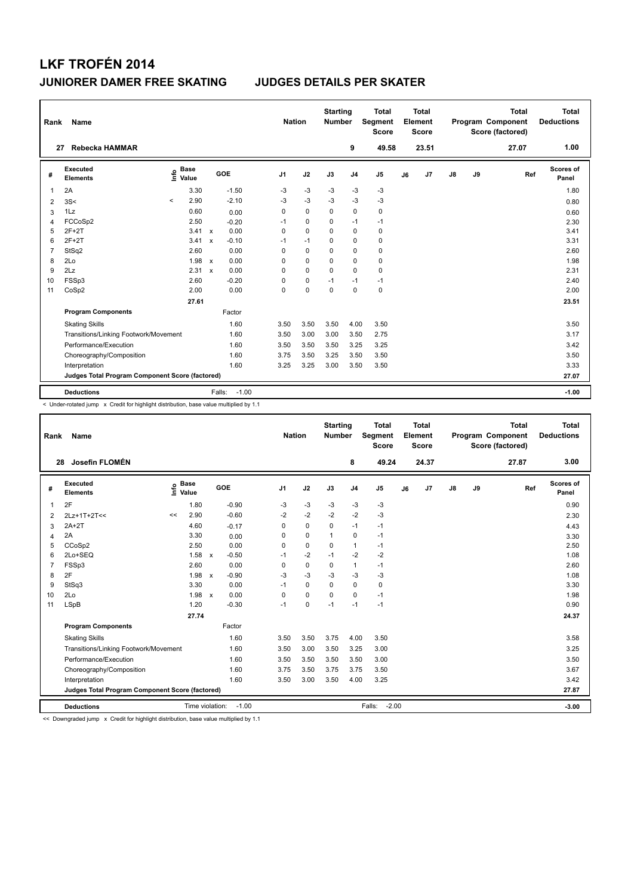| Rank           | Name                                            |         |                      |              |                   |                | <b>Nation</b> | <b>Starting</b><br><b>Number</b> |                | <b>Total</b><br>Segment<br>Score |    | <b>Total</b><br>Element<br><b>Score</b> |               |    | <b>Total</b><br>Program Component<br>Score (factored) | Total<br><b>Deductions</b> |
|----------------|-------------------------------------------------|---------|----------------------|--------------|-------------------|----------------|---------------|----------------------------------|----------------|----------------------------------|----|-----------------------------------------|---------------|----|-------------------------------------------------------|----------------------------|
| 27             | <b>Rebecka HAMMAR</b>                           |         |                      |              |                   |                |               |                                  | 9              | 49.58                            |    | 23.51                                   |               |    | 27.07                                                 | 1.00                       |
| #              | Executed<br><b>Elements</b>                     | ۴٥      | <b>Base</b><br>Value |              | GOE               | J <sub>1</sub> | J2            | J3                               | J <sub>4</sub> | J <sub>5</sub>                   | J6 | J7                                      | $\mathsf{J}8$ | J9 | Ref                                                   | Scores of<br>Panel         |
| 1              | 2A                                              |         | 3.30                 |              | $-1.50$           | -3             | -3            | -3                               | -3             | $-3$                             |    |                                         |               |    |                                                       | 1.80                       |
| $\overline{2}$ | 3S<                                             | $\prec$ | 2.90                 |              | $-2.10$           | -3             | $-3$          | $-3$                             | $-3$           | $-3$                             |    |                                         |               |    |                                                       | 0.80                       |
| 3              | 1Lz                                             |         | 0.60                 |              | 0.00              | $\mathbf 0$    | $\mathbf 0$   | $\mathbf 0$                      | 0              | $\pmb{0}$                        |    |                                         |               |    |                                                       | 0.60                       |
| $\overline{4}$ | FCCoSp2                                         |         | 2.50                 |              | $-0.20$           | $-1$           | $\mathbf 0$   | $\Omega$                         | $-1$           | $-1$                             |    |                                         |               |    |                                                       | 2.30                       |
| 5              | $2F+2T$                                         |         | 3.41 x               |              | 0.00              | $\mathbf 0$    | $\mathbf 0$   | $\Omega$                         | $\mathbf 0$    | 0                                |    |                                         |               |    |                                                       | 3.41                       |
| 6              | $2F+2T$                                         |         | 3.41                 | $\mathbf{x}$ | $-0.10$           | $-1$           | $-1$          | 0                                | $\Omega$       | 0                                |    |                                         |               |    |                                                       | 3.31                       |
| $\overline{7}$ | StSq2                                           |         | 2.60                 |              | 0.00              | $\Omega$       | $\mathbf 0$   | $\Omega$                         | $\mathbf 0$    | 0                                |    |                                         |               |    |                                                       | 2.60                       |
| 8              | 2Lo                                             |         | 1.98                 | $\mathsf{x}$ | 0.00              | $\Omega$       | $\mathbf 0$   | $\Omega$                         | $\mathbf 0$    | $\mathbf 0$                      |    |                                         |               |    |                                                       | 1.98                       |
| 9              | 2Lz                                             |         | 2.31                 | $\mathsf{x}$ | 0.00              | $\Omega$       | $\mathbf 0$   | $\mathbf 0$                      | $\mathbf 0$    | 0                                |    |                                         |               |    |                                                       | 2.31                       |
| 10             | FSSp3                                           |         | 2.60                 |              | $-0.20$           | 0              | $\pmb{0}$     | $-1$                             | $-1$           | $-1$                             |    |                                         |               |    |                                                       | 2.40                       |
| 11             | CoSp2                                           |         | 2.00                 |              | 0.00              | 0              | $\pmb{0}$     | $\mathbf 0$                      | $\mathbf 0$    | $\pmb{0}$                        |    |                                         |               |    |                                                       | 2.00                       |
|                |                                                 |         | 27.61                |              |                   |                |               |                                  |                |                                  |    |                                         |               |    |                                                       | 23.51                      |
|                | <b>Program Components</b>                       |         |                      |              | Factor            |                |               |                                  |                |                                  |    |                                         |               |    |                                                       |                            |
|                | <b>Skating Skills</b>                           |         |                      |              | 1.60              | 3.50           | 3.50          | 3.50                             | 4.00           | 3.50                             |    |                                         |               |    |                                                       | 3.50                       |
|                | Transitions/Linking Footwork/Movement           |         |                      |              | 1.60              | 3.50           | 3.00          | 3.00                             | 3.50           | 2.75                             |    |                                         |               |    |                                                       | 3.17                       |
|                | Performance/Execution                           |         |                      |              | 1.60              | 3.50           | 3.50          | 3.50                             | 3.25           | 3.25                             |    |                                         |               |    |                                                       | 3.42                       |
|                | Choreography/Composition                        |         |                      |              | 1.60              | 3.75           | 3.50          | 3.25                             | 3.50           | 3.50                             |    |                                         |               |    |                                                       | 3.50                       |
|                | Interpretation                                  |         |                      |              | 1.60              | 3.25           | 3.25          | 3.00                             | 3.50           | 3.50                             |    |                                         |               |    |                                                       | 3.33                       |
|                | Judges Total Program Component Score (factored) |         |                      |              |                   |                |               |                                  |                |                                  |    |                                         |               |    |                                                       | 27.07                      |
|                | <b>Deductions</b>                               |         |                      |              | $-1.00$<br>Falls: |                |               |                                  |                |                                  |    |                                         |               |    |                                                       | $-1.00$                    |

< Under-rotated jump x Credit for highlight distribution, base value multiplied by 1.1

| Name<br>Rank   |                                                 |    |                      |                                      |         |          | <b>Nation</b> |             | <b>Starting</b><br><b>Number</b> | <b>Total</b><br>Segment<br><b>Score</b> |    | Total<br>Element<br>Score |               |       | <b>Total</b><br>Program Component<br>Score (factored) |     | <b>Total</b><br><b>Deductions</b> |
|----------------|-------------------------------------------------|----|----------------------|--------------------------------------|---------|----------|---------------|-------------|----------------------------------|-----------------------------------------|----|---------------------------|---------------|-------|-------------------------------------------------------|-----|-----------------------------------|
| 28             | Josefin FLOMÉN                                  |    |                      |                                      |         |          |               |             | 8                                | 49.24                                   |    | 24.37                     |               |       | 27.87                                                 |     | 3.00                              |
| #              | Executed<br><b>Elements</b>                     | ١m | <b>Base</b><br>Value | GOE                                  |         | J1       | J2            | J3          | J <sub>4</sub>                   | J5                                      | J6 | J <sub>7</sub>            | $\mathsf{J}8$ | J9    |                                                       | Ref | Scores of<br>Panel                |
| 1              | 2F                                              |    | 1.80                 | $-0.90$                              |         | -3       | $-3$          | $-3$        | $-3$                             | $-3$                                    |    |                           |               |       |                                                       |     | 0.90                              |
| 2              | 2Lz+1T+2T<<                                     | << | 2.90                 | $-0.60$                              |         | $-2$     | $-2$          | $-2$        | $-2$                             | $-3$                                    |    |                           |               |       |                                                       |     | 2.30                              |
| 3              | $2A+2T$                                         |    | 4.60                 | $-0.17$                              |         | 0        | $\pmb{0}$     | 0           | $-1$                             | $-1$                                    |    |                           |               |       |                                                       |     | 4.43                              |
| 4              | 2A                                              |    | 3.30                 | 0.00                                 |         | 0        | 0             | 1           | 0                                | $-1$                                    |    |                           |               |       |                                                       |     | 3.30                              |
| 5              | CCoSp2                                          |    | 2.50                 | 0.00                                 |         | $\Omega$ | $\mathbf 0$   | $\mathbf 0$ | $\mathbf{1}$                     | $-1$                                    |    |                           |               |       |                                                       |     | 2.50                              |
| 6              | 2Lo+SEQ                                         |    | 1.58                 | $-0.50$<br>$\mathsf{x}$              |         | $-1$     | $-2$          | $-1$        | $-2$                             | $-2$                                    |    |                           |               |       |                                                       |     | 1.08                              |
| $\overline{7}$ | FSSp3                                           |    | 2.60                 | 0.00                                 |         | 0        | $\mathbf 0$   | 0           | $\mathbf{1}$                     | $-1$                                    |    |                           |               |       |                                                       |     | 2.60                              |
| 8              | 2F                                              |    | 1.98                 | $-0.90$<br>$\boldsymbol{\mathsf{x}}$ |         | $-3$     | $-3$          | $-3$        | $-3$                             | $-3$                                    |    |                           |               |       |                                                       |     | 1.08                              |
| 9              | StSq3                                           |    | 3.30                 | 0.00                                 |         | $-1$     | $\mathbf 0$   | $\Omega$    | 0                                | 0                                       |    |                           |               |       |                                                       |     | 3.30                              |
| 10             | 2Lo                                             |    | 1.98                 | 0.00<br>$\mathsf{x}$                 |         | $\Omega$ | $\Omega$      | $\Omega$    | $\Omega$                         | $-1$                                    |    |                           |               |       |                                                       |     | 1.98                              |
| 11             | <b>LSpB</b>                                     |    | 1.20                 | $-0.30$                              |         | $-1$     | $\mathbf 0$   | $-1$        | $-1$                             | $-1$                                    |    |                           |               |       |                                                       |     | 0.90                              |
|                |                                                 |    | 27.74                |                                      |         |          |               |             |                                  |                                         |    |                           |               |       |                                                       |     | 24.37                             |
|                | <b>Program Components</b>                       |    |                      | Factor                               |         |          |               |             |                                  |                                         |    |                           |               |       |                                                       |     |                                   |
|                | <b>Skating Skills</b>                           |    |                      | 1.60                                 |         | 3.50     | 3.50          | 3.75        | 4.00                             | 3.50                                    |    |                           |               |       |                                                       |     | 3.58                              |
|                | Transitions/Linking Footwork/Movement           |    |                      | 1.60                                 |         | 3.50     | 3.00          | 3.50        | 3.25                             | 3.00                                    |    |                           |               |       |                                                       |     | 3.25                              |
|                | Performance/Execution                           |    |                      | 1.60                                 |         | 3.50     | 3.50          | 3.50        | 3.50                             | 3.00                                    |    |                           |               |       |                                                       |     | 3.50                              |
|                | Choreography/Composition                        |    |                      | 1.60                                 |         | 3.75     | 3.50          | 3.75        | 3.75                             | 3.50                                    |    |                           |               |       |                                                       |     | 3.67                              |
|                | Interpretation                                  |    |                      | 1.60                                 |         | 3.50     | 3.00          | 3.50        | 4.00                             | 3.25                                    |    |                           |               |       |                                                       |     | 3.42                              |
|                | Judges Total Program Component Score (factored) |    |                      |                                      |         |          |               |             |                                  |                                         |    |                           |               | 27.87 |                                                       |     |                                   |
|                | <b>Deductions</b>                               |    |                      | Time violation:                      | $-1.00$ |          |               |             |                                  | $-2.00$<br>Falls:                       |    |                           |               |       |                                                       |     | $-3.00$                           |

<< Downgraded jump x Credit for highlight distribution, base value multiplied by 1.1